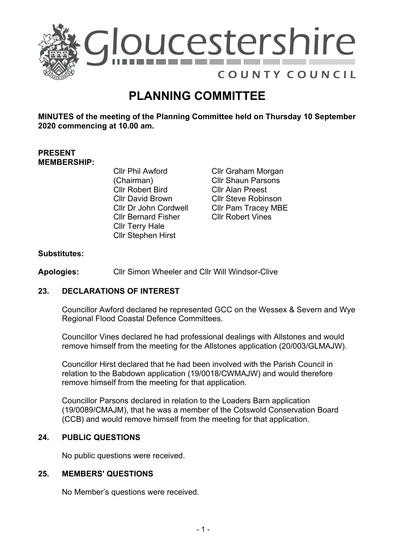

# **PLANNING COMMITTEE**

**MINUTES of the meeting of the Planning Committee held on Thursday 10 September 2020 commencing at 10.00 am.**

# **PRESENT MEMBERSHIP:**

- Cllr Phil Awford (Chairman) Cllr Robert Bird Cllr David Brown Cllr Dr John Cordwell Cllr Bernard Fisher Cllr Terry Hale Cllr Stephen Hirst
- Cllr Graham Morgan Cllr Shaun Parsons Cllr Alan Preest Cllr Steve Robinson Cllr Pam Tracey MBE Cllr Robert Vines

# **Substitutes:**

**Apologies:** Cllr Simon Wheeler and Cllr Will Windsor-Clive

# **23. DECLARATIONS OF INTEREST**

Councillor Awford declared he represented GCC on the Wessex & Severn and Wye Regional Flood Coastal Defence Committees.

Councillor Vines declared he had professional dealings with Allstones and would remove himself from the meeting for the Allstones application (20/003/GLMAJW).

Councillor Hirst declared that he had been involved with the Parish Council in relation to the Babdown application (19/0018/CWMAJW) and would therefore remove himself from the meeting for that application.

Councillor Parsons declared in relation to the Loaders Barn application (19/0089/CMAJM), that he was a member of the Cotswold Conservation Board (CCB) and would remove himself from the meeting for that application.

#### **24. PUBLIC QUESTIONS**

No public questions were received.

#### **25. MEMBERS' QUESTIONS**

No Member's questions were received.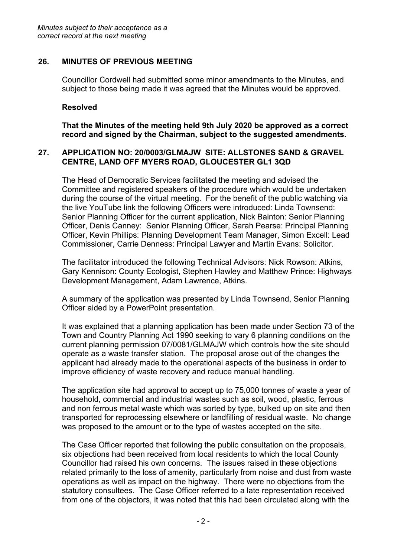# **26. MINUTES OF PREVIOUS MEETING**

Councillor Cordwell had submitted some minor amendments to the Minutes, and subject to those being made it was agreed that the Minutes would be approved.

## **Resolved**

**That the Minutes of the meeting held 9th July 2020 be approved as a correct record and signed by the Chairman, subject to the suggested amendments.** 

#### **27. APPLICATION NO: 20/0003/GLMAJW SITE: ALLSTONES SAND & GRAVEL CENTRE, LAND OFF MYERS ROAD, GLOUCESTER GL1 3QD**

The Head of Democratic Services facilitated the meeting and advised the Committee and registered speakers of the procedure which would be undertaken during the course of the virtual meeting. For the benefit of the public watching via the live YouTube link the following Officers were introduced: Linda Townsend: Senior Planning Officer for the current application, Nick Bainton: Senior Planning Officer, Denis Canney: Senior Planning Officer, Sarah Pearse: Principal Planning Officer, Kevin Phillips: Planning Development Team Manager, Simon Excell: Lead Commissioner, Carrie Denness: Principal Lawyer and Martin Evans: Solicitor.

The facilitator introduced the following Technical Advisors: Nick Rowson: Atkins, Gary Kennison: County Ecologist, Stephen Hawley and Matthew Prince: Highways Development Management, Adam Lawrence, Atkins.

A summary of the application was presented by Linda Townsend, Senior Planning Officer aided by a PowerPoint presentation.

It was explained that a planning application has been made under Section 73 of the Town and Country Planning Act 1990 seeking to vary 6 planning conditions on the current planning permission 07/0081/GLMAJW which controls how the site should operate as a waste transfer station. The proposal arose out of the changes the applicant had already made to the operational aspects of the business in order to improve efficiency of waste recovery and reduce manual handling.

The application site had approval to accept up to 75,000 tonnes of waste a year of household, commercial and industrial wastes such as soil, wood, plastic, ferrous and non ferrous metal waste which was sorted by type, bulked up on site and then transported for reprocessing elsewhere or landfilling of residual waste. No change was proposed to the amount or to the type of wastes accepted on the site.

The Case Officer reported that following the public consultation on the proposals, six objections had been received from local residents to which the local County Councillor had raised his own concerns. The issues raised in these objections related primarily to the loss of amenity, particularly from noise and dust from waste operations as well as impact on the highway. There were no objections from the statutory consultees. The Case Officer referred to a late representation received from one of the objectors, it was noted that this had been circulated along with the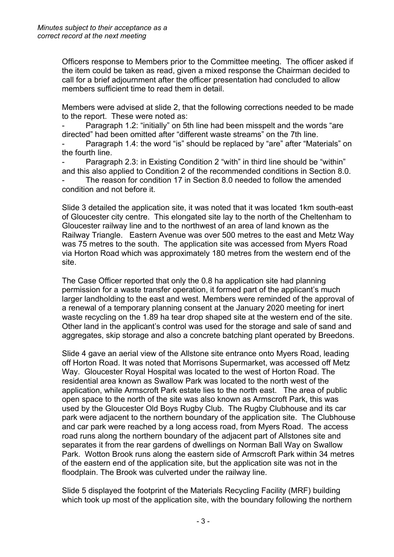Officers response to Members prior to the Committee meeting. The officer asked if the item could be taken as read, given a mixed response the Chairman decided to call for a brief adjournment after the officer presentation had concluded to allow members sufficient time to read them in detail.

Members were advised at slide 2, that the following corrections needed to be made to the report. These were noted as:

Paragraph 1.2: "initially" on 5th line had been misspelt and the words "are directed" had been omitted after "different waste streams" on the 7th line.

Paragraph 1.4: the word "is" should be replaced by "are" after "Materials" on the fourth line.

Paragraph 2.3: in Existing Condition 2 "with" in third line should be "within" and this also applied to Condition 2 of the recommended conditions in Section 8.0.

- The reason for condition 17 in Section 8.0 needed to follow the amended condition and not before it.

Slide 3 detailed the application site, it was noted that it was located 1km south-east of Gloucester city centre. This elongated site lay to the north of the Cheltenham to Gloucester railway line and to the northwest of an area of land known as the Railway Triangle. Eastern Avenue was over 500 metres to the east and Metz Way was 75 metres to the south. The application site was accessed from Myers Road via Horton Road which was approximately 180 metres from the western end of the site.

The Case Officer reported that only the 0.8 ha application site had planning permission for a waste transfer operation, it formed part of the applicant's much larger landholding to the east and west. Members were reminded of the approval of a renewal of a temporary planning consent at the January 2020 meeting for inert waste recycling on the 1.89 ha tear drop shaped site at the western end of the site. Other land in the applicant's control was used for the storage and sale of sand and aggregates, skip storage and also a concrete batching plant operated by Breedons.

Slide 4 gave an aerial view of the Allstone site entrance onto Myers Road, leading off Horton Road. It was noted that Morrisons Supermarket, was accessed off Metz Way. Gloucester Royal Hospital was located to the west of Horton Road. The residential area known as Swallow Park was located to the north west of the application, while Armscroft Park estate lies to the north east. The area of public open space to the north of the site was also known as Armscroft Park, this was used by the Gloucester Old Boys Rugby Club. The Rugby Clubhouse and its car park were adjacent to the northern boundary of the application site. The Clubhouse and car park were reached by a long access road, from Myers Road. The access road runs along the northern boundary of the adjacent part of Allstones site and separates it from the rear gardens of dwellings on Norman Ball Way on Swallow Park. Wotton Brook runs along the eastern side of Armscroft Park within 34 metres of the eastern end of the application site, but the application site was not in the floodplain. The Brook was culverted under the railway line.

Slide 5 displayed the footprint of the Materials Recycling Facility (MRF) building which took up most of the application site, with the boundary following the northern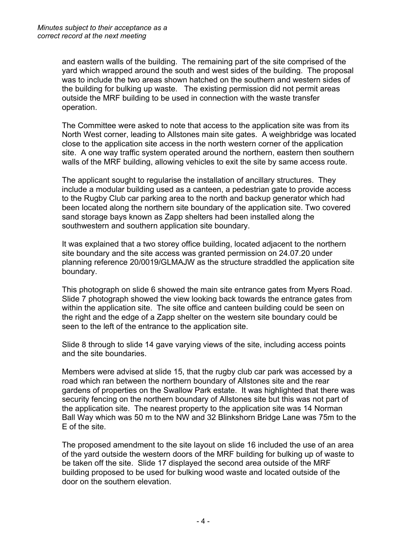and eastern walls of the building. The remaining part of the site comprised of the yard which wrapped around the south and west sides of the building. The proposal was to include the two areas shown hatched on the southern and western sides of the building for bulking up waste. The existing permission did not permit areas outside the MRF building to be used in connection with the waste transfer operation.

The Committee were asked to note that access to the application site was from its North West corner, leading to Allstones main site gates. A weighbridge was located close to the application site access in the north western corner of the application site. A one way traffic system operated around the northern, eastern then southern walls of the MRF building, allowing vehicles to exit the site by same access route.

The applicant sought to regularise the installation of ancillary structures. They include a modular building used as a canteen, a pedestrian gate to provide access to the Rugby Club car parking area to the north and backup generator which had been located along the northern site boundary of the application site. Two covered sand storage bays known as Zapp shelters had been installed along the southwestern and southern application site boundary.

It was explained that a two storey office building, located adjacent to the northern site boundary and the site access was granted permission on 24.07.20 under planning reference 20/0019/GLMAJW as the structure straddled the application site boundary.

This photograph on slide 6 showed the main site entrance gates from Myers Road. Slide 7 photograph showed the view looking back towards the entrance gates from within the application site. The site office and canteen building could be seen on the right and the edge of a Zapp shelter on the western site boundary could be seen to the left of the entrance to the application site.

Slide 8 through to slide 14 gave varying views of the site, including access points and the site boundaries.

Members were advised at slide 15, that the rugby club car park was accessed by a road which ran between the northern boundary of Allstones site and the rear gardens of properties on the Swallow Park estate. It was highlighted that there was security fencing on the northern boundary of Allstones site but this was not part of the application site. The nearest property to the application site was 14 Norman Ball Way which was 50 m to the NW and 32 Blinkshorn Bridge Lane was 75m to the E of the site.

The proposed amendment to the site layout on slide 16 included the use of an area of the yard outside the western doors of the MRF building for bulking up of waste to be taken off the site. Slide 17 displayed the second area outside of the MRF building proposed to be used for bulking wood waste and located outside of the door on the southern elevation.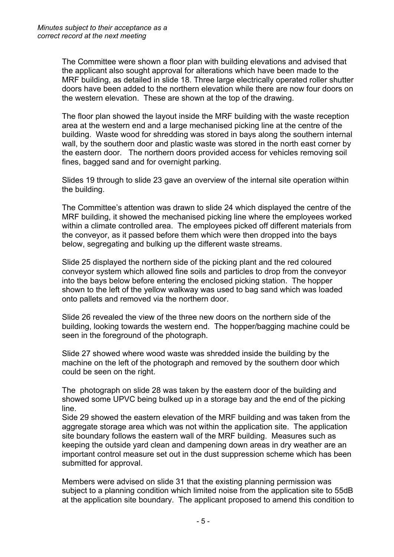The Committee were shown a floor plan with building elevations and advised that the applicant also sought approval for alterations which have been made to the MRF building, as detailed in slide 18. Three large electrically operated roller shutter doors have been added to the northern elevation while there are now four doors on the western elevation. These are shown at the top of the drawing.

The floor plan showed the layout inside the MRF building with the waste reception area at the western end and a large mechanised picking line at the centre of the building. Waste wood for shredding was stored in bays along the southern internal wall, by the southern door and plastic waste was stored in the north east corner by the eastern door. The northern doors provided access for vehicles removing soil fines, bagged sand and for overnight parking.

Slides 19 through to slide 23 gave an overview of the internal site operation within the building.

The Committee's attention was drawn to slide 24 which displayed the centre of the MRF building, it showed the mechanised picking line where the employees worked within a climate controlled area. The employees picked off different materials from the conveyor, as it passed before them which were then dropped into the bays below, segregating and bulking up the different waste streams.

Slide 25 displayed the northern side of the picking plant and the red coloured conveyor system which allowed fine soils and particles to drop from the conveyor into the bays below before entering the enclosed picking station. The hopper shown to the left of the yellow walkway was used to bag sand which was loaded onto pallets and removed via the northern door.

Slide 26 revealed the view of the three new doors on the northern side of the building, looking towards the western end. The hopper/bagging machine could be seen in the foreground of the photograph.

Slide 27 showed where wood waste was shredded inside the building by the machine on the left of the photograph and removed by the southern door which could be seen on the right.

The photograph on slide 28 was taken by the eastern door of the building and showed some UPVC being bulked up in a storage bay and the end of the picking line.

Side 29 showed the eastern elevation of the MRF building and was taken from the aggregate storage area which was not within the application site. The application site boundary follows the eastern wall of the MRF building. Measures such as keeping the outside yard clean and dampening down areas in dry weather are an important control measure set out in the dust suppression scheme which has been submitted for approval.

Members were advised on slide 31 that the existing planning permission was subject to a planning condition which limited noise from the application site to 55dB at the application site boundary. The applicant proposed to amend this condition to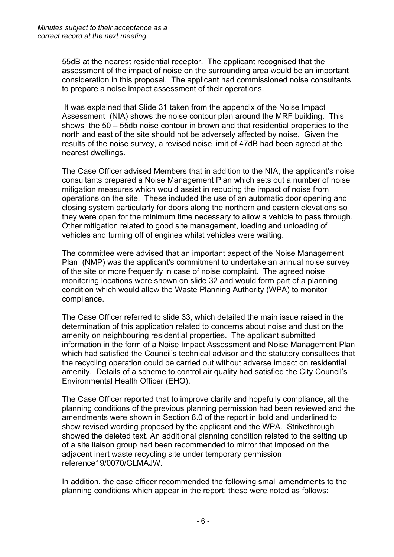55dB at the nearest residential receptor. The applicant recognised that the assessment of the impact of noise on the surrounding area would be an important consideration in this proposal. The applicant had commissioned noise consultants to prepare a noise impact assessment of their operations.

It was explained that Slide 31 taken from the appendix of the Noise Impact Assessment (NIA) shows the noise contour plan around the MRF building. This shows the 50 – 55db noise contour in brown and that residential properties to the north and east of the site should not be adversely affected by noise. Given the results of the noise survey, a revised noise limit of 47dB had been agreed at the nearest dwellings.

The Case Officer advised Members that in addition to the NIA, the applicant's noise consultants prepared a Noise Management Plan which sets out a number of noise mitigation measures which would assist in reducing the impact of noise from operations on the site. These included the use of an automatic door opening and closing system particularly for doors along the northern and eastern elevations so they were open for the minimum time necessary to allow a vehicle to pass through. Other mitigation related to good site management, loading and unloading of vehicles and turning off of engines whilst vehicles were waiting.

The committee were advised that an important aspect of the Noise Management Plan (NMP) was the applicant's commitment to undertake an annual noise survey of the site or more frequently in case of noise complaint. The agreed noise monitoring locations were shown on slide 32 and would form part of a planning condition which would allow the Waste Planning Authority (WPA) to monitor compliance.

The Case Officer referred to slide 33, which detailed the main issue raised in the determination of this application related to concerns about noise and dust on the amenity on neighbouring residential properties. The applicant submitted information in the form of a Noise Impact Assessment and Noise Management Plan which had satisfied the Council's technical advisor and the statutory consultees that the recycling operation could be carried out without adverse impact on residential amenity. Details of a scheme to control air quality had satisfied the City Council's Environmental Health Officer (EHO).

The Case Officer reported that to improve clarity and hopefully compliance, all the planning conditions of the previous planning permission had been reviewed and the amendments were shown in Section 8.0 of the report in bold and underlined to show revised wording proposed by the applicant and the WPA. Strikethrough showed the deleted text. An additional planning condition related to the setting up of a site liaison group had been recommended to mirror that imposed on the adjacent inert waste recycling site under temporary permission reference19/0070/GLMAJW.

In addition, the case officer recommended the following small amendments to the planning conditions which appear in the report: these were noted as follows: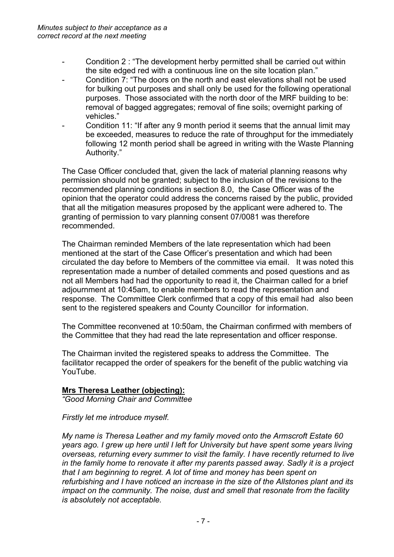- Condition 2 : "The development herby permitted shall be carried out within the site edged red with a continuous line on the site location plan."
- Condition 7: "The doors on the north and east elevations shall not be used for bulking out purposes and shall only be used for the following operational purposes. Those associated with the north door of the MRF building to be: removal of bagged aggregates; removal of fine soils; overnight parking of vehicles."
- Condition 11: "If after any 9 month period it seems that the annual limit may be exceeded, measures to reduce the rate of throughput for the immediately following 12 month period shall be agreed in writing with the Waste Planning Authority."

The Case Officer concluded that, given the lack of material planning reasons why permission should not be granted; subject to the inclusion of the revisions to the recommended planning conditions in section 8.0, the Case Officer was of the opinion that the operator could address the concerns raised by the public, provided that all the mitigation measures proposed by the applicant were adhered to. The granting of permission to vary planning consent 07/0081 was therefore recommended.

The Chairman reminded Members of the late representation which had been mentioned at the start of the Case Officer's presentation and which had been circulated the day before to Members of the committee via email. It was noted this representation made a number of detailed comments and posed questions and as not all Members had had the opportunity to read it, the Chairman called for a brief adjournment at 10:45am, to enable members to read the representation and response. The Committee Clerk confirmed that a copy of this email had also been sent to the registered speakers and County Councillor for information.

The Committee reconvened at 10:50am, the Chairman confirmed with members of the Committee that they had read the late representation and officer response.

The Chairman invited the registered speaks to address the Committee. The facilitator recapped the order of speakers for the benefit of the public watching via YouTube.

#### **Mrs Theresa Leather (objecting):**

*"Good Morning Chair and Committee*

*Firstly let me introduce myself.*

*My name is Theresa Leather and my family moved onto the Armscroft Estate 60 years ago. I grew up here until I left for University but have spent some years living overseas, returning every summer to visit the family. I have recently returned to live in the family home to renovate it after my parents passed away. Sadly it is a project that I am beginning to regret. A lot of time and money has been spent on refurbishing and I have noticed an increase in the size of the Allstones plant and its impact on the community. The noise, dust and smell that resonate from the facility is absolutely not acceptable.*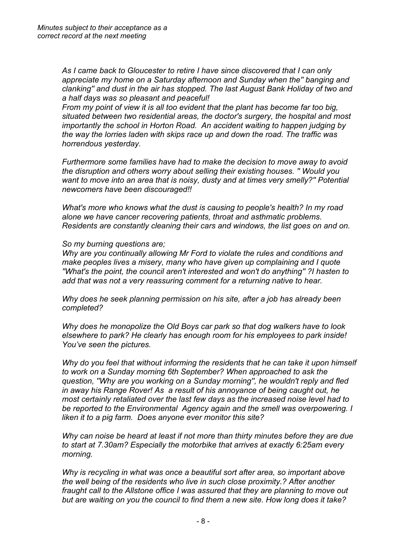*As I came back to Gloucester to retire I have since discovered that I can only appreciate my home on a Saturday afternoon and Sunday when the'' banging and clanking'' and dust in the air has stopped. The last August Bank Holiday of two and a half days was so pleasant and peaceful!*

*From my point of view it is all too evident that the plant has become far too big, situated between two residential areas, the doctor's surgery, the hospital and most importantly the school in Horton Road. An accident waiting to happen judging by the way the lorries laden with skips race up and down the road. The traffic was horrendous yesterday.*

*Furthermore some families have had to make the decision to move away to avoid the disruption and others worry about selling their existing houses. '' Would you want to move into an area that is noisy, dusty and at times very smelly?'' Potential newcomers have been discouraged!!*

*What's more who knows what the dust is causing to people's health? In my road alone we have cancer recovering patients, throat and asthmatic problems. Residents are constantly cleaning their cars and windows, the list goes on and on.*

#### *So my burning questions are;*

*Why are you continually allowing Mr Ford to violate the rules and conditions and make peoples lives a misery, many who have given up complaining and I quote ''What's the point, the council aren't interested and won't do anything'' ?I hasten to add that was not a very reassuring comment for a returning native to hear.*

*Why does he seek planning permission on his site, after a job has already been completed?*

*Why does he monopolize the Old Boys car park so that dog walkers have to look elsewhere to park? He clearly has enough room for his employees to park inside! You've seen the pictures.* 

*Why do you feel that without informing the residents that he can take it upon himself to work on a Sunday morning 6th September? When approached to ask the question, ''Why are you working on a Sunday morning'', he wouldn't reply and fled in away his Range Rover! As a result of his annoyance of being caught out, he most certainly retaliated over the last few days as the increased noise level had to be reported to the Environmental Agency again and the smell was overpowering. I liken it to a pig farm. Does anyone ever monitor this site?*

*Why can noise be heard at least if not more than thirty minutes before they are due to start at 7.30am? Especially the motorbike that arrives at exactly 6:25am every morning.*

*Why is recycling in what was once a beautiful sort after area, so important above the well being of the residents who live in such close proximity.? After another fraught call to the Allstone office I was assured that they are planning to move out but are waiting on you the council to find them a new site. How long does it take?*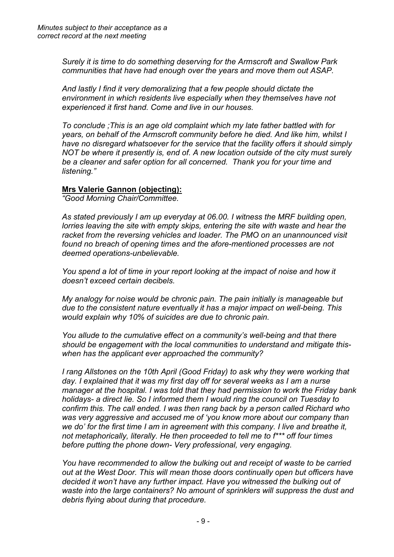*Surely it is time to do something deserving for the Armscroft and Swallow Park communities that have had enough over the years and move them out ASAP.*

*And lastly I find it very demoralizing that a few people should dictate the environment in which residents live especially when they themselves have not experienced it first hand. Come and live in our houses.* 

*To conclude ;This is an age old complaint which my late father battled with for years, on behalf of the Armscroft community before he died. And like him, whilst I have no disregard whatsoever for the service that the facility offers it should simply NOT be where it presently is, end of. A new location outside of the city must surely be a cleaner and safer option for all concerned. Thank you for your time and listening."*

#### **Mrs Valerie Gannon (objecting):**

*"Good Morning Chair/Committee.*

*As stated previously I am up everyday at 06.00. I witness the MRF building open, lorries leaving the site with empty skips, entering the site with waste and hear the racket from the reversing vehicles and loader. The PMO on an unannounced visit found no breach of opening times and the afore-mentioned processes are not deemed operations-unbelievable.*

*You spend a lot of time in your report looking at the impact of noise and how it doesn't exceed certain decibels.*

*My analogy for noise would be chronic pain. The pain initially is manageable but due to the consistent nature eventually it has a major impact on well-being. This would explain why 10% of suicides are due to chronic pain.*

*You allude to the cumulative effect on a community's well-being and that there should be engagement with the local communities to understand and mitigate thiswhen has the applicant ever approached the community?*

*I rang Allstones on the 10th April (Good Friday) to ask why they were working that day. I explained that it was my first day off for several weeks as I am a nurse manager at the hospital. I was told that they had permission to work the Friday bank holidays- a direct lie. So I informed them I would ring the council on Tuesday to confirm this. The call ended. I was then rang back by a person called Richard who was very aggressive and accused me of 'you know more about our company than we do' for the first time I am in agreement with this company. I live and breathe it, not metaphorically, literally. He then proceeded to tell me to f\*\*\* off four times before putting the phone down- Very professional, very engaging.*

*You have recommended to allow the bulking out and receipt of waste to be carried out at the West Door. This will mean those doors continually open but officers have decided it won't have any further impact. Have you witnessed the bulking out of waste into the large containers? No amount of sprinklers will suppress the dust and debris flying about during that procedure.*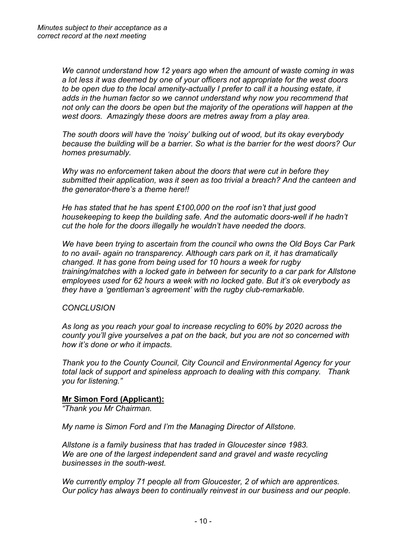*We cannot understand how 12 years ago when the amount of waste coming in was a lot less it was deemed by one of your officers not appropriate for the west doors to be open due to the local amenity-actually I prefer to call it a housing estate, it adds in the human factor so we cannot understand why now you recommend that not only can the doors be open but the majority of the operations will happen at the west doors. Amazingly these doors are metres away from a play area.*

*The south doors will have the 'noisy' bulking out of wood, but its okay everybody because the building will be a barrier. So what is the barrier for the west doors? Our homes presumably.*

*Why was no enforcement taken about the doors that were cut in before they submitted their application, was it seen as too trivial a breach? And the canteen and the generator-there's a theme here!!*

*He has stated that he has spent £100,000 on the roof isn't that just good housekeeping to keep the building safe. And the automatic doors-well if he hadn't cut the hole for the doors illegally he wouldn't have needed the doors.*

*We have been trying to ascertain from the council who owns the Old Boys Car Park to no avail- again no transparency. Although cars park on it, it has dramatically changed. It has gone from being used for 10 hours a week for rugby training/matches with a locked gate in between for security to a car park for Allstone employees used for 62 hours a week with no locked gate. But it's ok everybody as they have a 'gentleman's agreement' with the rugby club-remarkable.*

#### *CONCLUSION*

*As long as you reach your goal to increase recycling to 60% by 2020 across the county you'll give yourselves a pat on the back, but you are not so concerned with how it's done or who it impacts.*

*Thank you to the County Council, City Council and Environmental Agency for your total lack of support and spineless approach to dealing with this company. Thank you for listening."*

#### **Mr Simon Ford (Applicant):**

*"Thank you Mr Chairman.*

*My name is Simon Ford and I'm the Managing Director of Allstone.*

*Allstone is a family business that has traded in Gloucester since 1983. We are one of the largest independent sand and gravel and waste recycling businesses in the south-west.*

*We currently employ 71 people all from Gloucester, 2 of which are apprentices. Our policy has always been to continually reinvest in our business and our people.*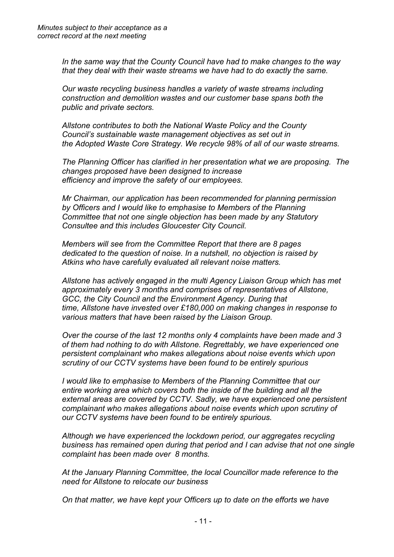*In the same way that the County Council have had to make changes to the way that they deal with their waste streams we have had to do exactly the same.*

*Our waste recycling business handles a variety of waste streams including construction and demolition wastes and our customer base spans both the public and private sectors.*

*Allstone contributes to both the National Waste Policy and the County Council's sustainable waste management objectives as set out in the Adopted Waste Core Strategy. We recycle 98% of all of our waste streams.*

*The Planning Officer has clarified in her presentation what we are proposing. The changes proposed have been designed to increase efficiency and improve the safety of our employees.*

*Mr Chairman, our application has been recommended for planning permission by Officers and I would like to emphasise to Members of the Planning Committee that not one single objection has been made by any Statutory Consultee and this includes Gloucester City Council.*

*Members will see from the Committee Report that there are 8 pages dedicated to the question of noise. In a nutshell, no objection is raised by Atkins who have carefully evaluated all relevant noise matters.*

*Allstone has actively engaged in the multi Agency Liaison Group which has met approximately every 3 months and comprises of representatives of Allstone, GCC, the City Council and the Environment Agency. During that time, Allstone have invested over £180,000 on making changes in response to various matters that have been raised by the Liaison Group.*

*Over the course of the last 12 months only 4 complaints have been made and 3 of them had nothing to do with Allstone. Regrettably, we have experienced one persistent complainant who makes allegations about noise events which upon scrutiny of our CCTV systems have been found to be entirely spurious*

*I would like to emphasise to Members of the Planning Committee that our entire working area which covers both the inside of the building and all the external areas are covered by CCTV. Sadly, we have experienced one persistent complainant who makes allegations about noise events which upon scrutiny of our CCTV systems have been found to be entirely spurious.*

*Although we have experienced the lockdown period, our aggregates recycling business has remained open during that period and I can advise that not one single complaint has been made over 8 months.*

*At the January Planning Committee, the local Councillor made reference to the need for Allstone to relocate our business*

*On that matter, we have kept your Officers up to date on the efforts we have*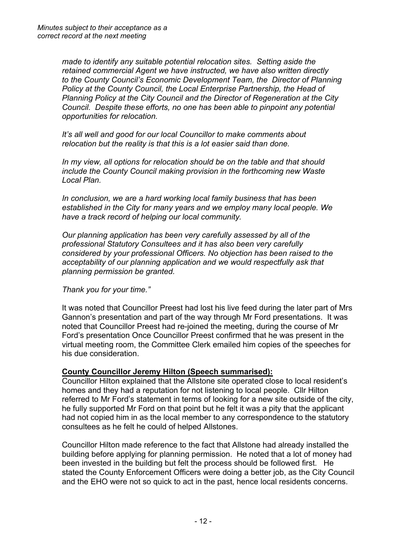*made to identify any suitable potential relocation sites. Setting aside the retained commercial Agent we have instructed, we have also written directly to the County Council's Economic Development Team, the Director of Planning Policy at the County Council, the Local Enterprise Partnership, the Head of Planning Policy at the City Council and the Director of Regeneration at the City Council. Despite these efforts, no one has been able to pinpoint any potential opportunities for relocation.*

*It's all well and good for our local Councillor to make comments about relocation but the reality is that this is a lot easier said than done.*

*In my view, all options for relocation should be on the table and that should include the County Council making provision in the forthcoming new Waste Local Plan.*

*In conclusion, we are a hard working local family business that has been established in the City for many years and we employ many local people. We have a track record of helping our local community.*

*Our planning application has been very carefully assessed by all of the professional Statutory Consultees and it has also been very carefully considered by your professional Officers. No objection has been raised to the acceptability of our planning application and we would respectfully ask that planning permission be granted.*

*Thank you for your time."*

It was noted that Councillor Preest had lost his live feed during the later part of Mrs Gannon's presentation and part of the way through Mr Ford presentations. It was noted that Councillor Preest had re-joined the meeting, during the course of Mr Ford's presentation Once Councillor Preest confirmed that he was present in the virtual meeting room, the Committee Clerk emailed him copies of the speeches for his due consideration.

#### **County Councillor Jeremy Hilton (Speech summarised):**

Councillor Hilton explained that the Allstone site operated close to local resident's homes and they had a reputation for not listening to local people. Cllr Hilton referred to Mr Ford's statement in terms of looking for a new site outside of the city, he fully supported Mr Ford on that point but he felt it was a pity that the applicant had not copied him in as the local member to any correspondence to the statutory consultees as he felt he could of helped Allstones.

Councillor Hilton made reference to the fact that Allstone had already installed the building before applying for planning permission. He noted that a lot of money had been invested in the building but felt the process should be followed first. He stated the County Enforcement Officers were doing a better job, as the City Council and the EHO were not so quick to act in the past, hence local residents concerns.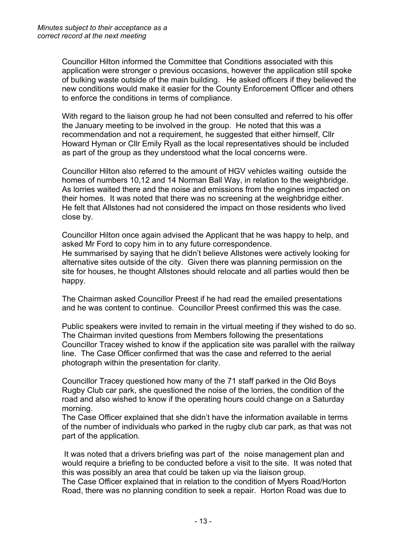Councillor Hilton informed the Committee that Conditions associated with this application were stronger o previous occasions, however the application still spoke of bulking waste outside of the main building. He asked officers if they believed the new conditions would make it easier for the County Enforcement Officer and others to enforce the conditions in terms of compliance.

With regard to the liaison group he had not been consulted and referred to his offer the January meeting to be involved in the group. He noted that this was a recommendation and not a requirement, he suggested that either himself, Cllr Howard Hyman or Cllr Emily Ryall as the local representatives should be included as part of the group as they understood what the local concerns were.

Councillor Hilton also referred to the amount of HGV vehicles waiting outside the homes of numbers 10,12 and 14 Norman Ball Way, in relation to the weighbridge. As lorries waited there and the noise and emissions from the engines impacted on their homes. It was noted that there was no screening at the weighbridge either. He felt that Allstones had not considered the impact on those residents who lived close by.

Councillor Hilton once again advised the Applicant that he was happy to help, and asked Mr Ford to copy him in to any future correspondence. He summarised by saying that he didn't believe Allstones were actively looking for alternative sites outside of the city. Given there was planning permission on the site for houses, he thought Allstones should relocate and all parties would then be happy.

The Chairman asked Councillor Preest if he had read the emailed presentations and he was content to continue. Councillor Preest confirmed this was the case.

Public speakers were invited to remain in the virtual meeting if they wished to do so. The Chairman invited questions from Members following the presentations Councillor Tracey wished to know if the application site was parallel with the railway line. The Case Officer confirmed that was the case and referred to the aerial photograph within the presentation for clarity.

Councillor Tracey questioned how many of the 71 staff parked in the Old Boys Rugby Club car park, she questioned the noise of the lorries, the condition of the road and also wished to know if the operating hours could change on a Saturday morning.

The Case Officer explained that she didn't have the information available in terms of the number of individuals who parked in the rugby club car park, as that was not part of the application.

It was noted that a drivers briefing was part of the noise management plan and would require a briefing to be conducted before a visit to the site. It was noted that this was possibly an area that could be taken up via the liaison group. The Case Officer explained that in relation to the condition of Myers Road/Horton

Road, there was no planning condition to seek a repair. Horton Road was due to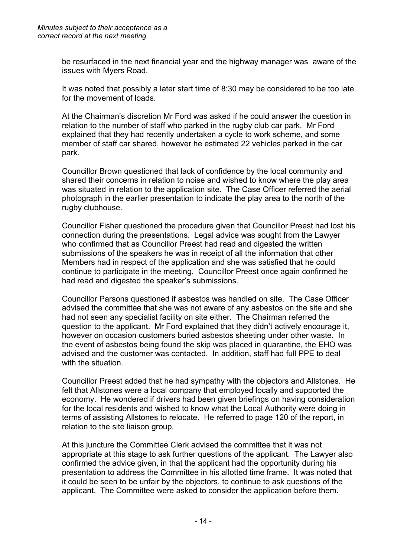be resurfaced in the next financial year and the highway manager was aware of the issues with Myers Road.

It was noted that possibly a later start time of 8:30 may be considered to be too late for the movement of loads.

At the Chairman's discretion Mr Ford was asked if he could answer the question in relation to the number of staff who parked in the rugby club car park. Mr Ford explained that they had recently undertaken a cycle to work scheme, and some member of staff car shared, however he estimated 22 vehicles parked in the car park.

Councillor Brown questioned that lack of confidence by the local community and shared their concerns in relation to noise and wished to know where the play area was situated in relation to the application site. The Case Officer referred the aerial photograph in the earlier presentation to indicate the play area to the north of the rugby clubhouse.

Councillor Fisher questioned the procedure given that Councillor Preest had lost his connection during the presentations. Legal advice was sought from the Lawyer who confirmed that as Councillor Preest had read and digested the written submissions of the speakers he was in receipt of all the information that other Members had in respect of the application and she was satisfied that he could continue to participate in the meeting. Councillor Preest once again confirmed he had read and digested the speaker's submissions.

Councillor Parsons questioned if asbestos was handled on site. The Case Officer advised the committee that she was not aware of any asbestos on the site and she had not seen any specialist facility on site either. The Chairman referred the question to the applicant. Mr Ford explained that they didn't actively encourage it, however on occasion customers buried asbestos sheeting under other waste. In the event of asbestos being found the skip was placed in quarantine, the EHO was advised and the customer was contacted. In addition, staff had full PPE to deal with the situation.

Councillor Preest added that he had sympathy with the objectors and Allstones. He felt that Allstones were a local company that employed locally and supported the economy. He wondered if drivers had been given briefings on having consideration for the local residents and wished to know what the Local Authority were doing in terms of assisting Allstones to relocate. He referred to page 120 of the report, in relation to the site liaison group.

At this juncture the Committee Clerk advised the committee that it was not appropriate at this stage to ask further questions of the applicant. The Lawyer also confirmed the advice given, in that the applicant had the opportunity during his presentation to address the Committee in his allotted time frame. It was noted that it could be seen to be unfair by the objectors, to continue to ask questions of the applicant. The Committee were asked to consider the application before them.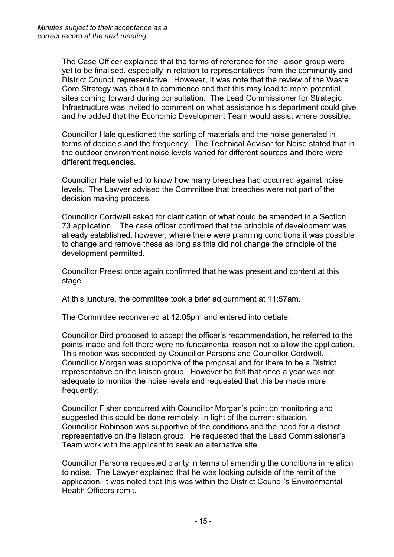The Case Officer explained that the terms of reference for the liaison group were yet to be finalised, especially in relation to representatives from the community and District Council representative. However, It was note that the review of the Waste Core Strategy was about to commence and that this may lead to more potential sites coming forward during consultation. The Lead Commissioner for Strategic Infrastructure was invited to comment on what assistance his department could give and he added that the Economic Development Team would assist where possible.

Councillor Hale questioned the sorting of materials and the noise generated in terms of decibels and the frequency. The Technical Advisor for Noise stated that in the outdoor environment noise levels varied for different sources and there were different frequencies.

Councillor Hale wished to know how many breeches had occurred against noise levels. The Lawyer advised the Committee that breeches were not part of the decision making process.

Councillor Cordwell asked for clarification of what could be amended in a Section 73 application. The case officer confirmed that the principle of development was already established, however, where there were planning conditions it was possible to change and remove these as long as this did not change the principle of the development permitted.

Councillor Preest once again confirmed that he was present and content at this stage.

At this juncture, the committee took a brief adjournment at 11:57am.

The Committee reconvened at 12:05pm and entered into debate.

Councillor Bird proposed to accept the officer's recommendation, he referred to the points made and felt there were no fundamental reason not to allow the application. This motion was seconded by Councillor Parsons and Councillor Cordwell. Councillor Morgan was supportive of the proposal and for there to be a District representative on the liaison group. However he felt that once a year was not adequate to monitor the noise levels and requested that this be made more frequently.

Councillor Fisher concurred with Councillor Morgan's point on monitoring and suggested this could be done remotely, in light of the current situation. Councillor Robinson was supportive of the conditions and the need for a district representative on the liaison group. He requested that the Lead Commissioner's Team work with the applicant to seek an alternative site.

Councillor Parsons requested clarity in terms of amending the conditions in relation to noise. The Lawyer explained that he was looking outside of the remit of the application, it was noted that this was within the District Council's Environmental Health Officers remit.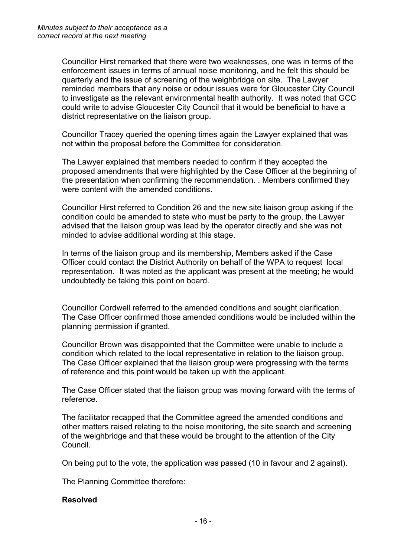Councillor Hirst remarked that there were two weaknesses, one was in terms of the enforcement issues in terms of annual noise monitoring, and he felt this should be quarterly and the issue of screening of the weighbridge on site. The Lawyer reminded members that any noise or odour issues were for Gloucester City Council to investigate as the relevant environmental health authority. It was noted that GCC could write to advise Gloucester City Council that it would be beneficial to have a district representative on the liaison group.

Councillor Tracey queried the opening times again the Lawyer explained that was not within the proposal before the Committee for consideration.

The Lawyer explained that members needed to confirm if they accepted the proposed amendments that were highlighted by the Case Officer at the beginning of the presentation when confirming the recommendation. . Members confirmed they were content with the amended conditions.

Councillor Hirst referred to Condition 26 and the new site liaison group asking if the condition could be amended to state who must be party to the group, the Lawyer advised that the liaison group was lead by the operator directly and she was not minded to advise additional wording at this stage.

In terms of the liaison group and its membership, Members asked if the Case Officer could contact the District Authority on behalf of the WPA to request local representation. It was noted as the applicant was present at the meeting; he would undoubtedly be taking this point on board.

Councillor Cordwell referred to the amended conditions and sought clarification. The Case Officer confirmed those amended conditions would be included within the planning permission if granted.

Councillor Brown was disappointed that the Committee were unable to include a condition which related to the local representative in relation to the liaison group. The Case Officer explained that the liaison group were progressing with the terms of reference and this point would be taken up with the applicant.

The Case Officer stated that the liaison group was moving forward with the terms of reference.

The facilitator recapped that the Committee agreed the amended conditions and other matters raised relating to the noise monitoring, the site search and screening of the weighbridge and that these would be brought to the attention of the City Council.

On being put to the vote, the application was passed (10 in favour and 2 against).

The Planning Committee therefore:

#### **Resolved**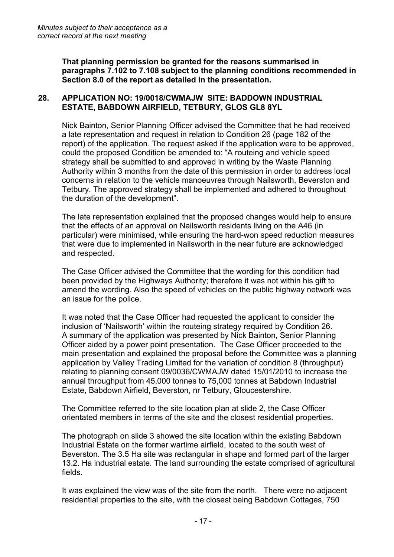**That planning permission be granted for the reasons summarised in paragraphs 7.102 to 7.108 subject to the planning conditions recommended in Section 8.0 of the report as detailed in the presentation.** 

## **28. APPLICATION NO: 19/0018/CWMAJW SITE: BADDOWN INDUSTRIAL ESTATE, BABDOWN AIRFIELD, TETBURY, GLOS GL8 8YL**

Nick Bainton, Senior Planning Officer advised the Committee that he had received a late representation and request in relation to Condition 26 (page 182 of the report) of the application. The request asked if the application were to be approved, could the proposed Condition be amended to: "A routeing and vehicle speed strategy shall be submitted to and approved in writing by the Waste Planning Authority within 3 months from the date of this permission in order to address local concerns in relation to the vehicle manoeuvres through Nailsworth, Beverston and Tetbury. The approved strategy shall be implemented and adhered to throughout the duration of the development".

The late representation explained that the proposed changes would help to ensure that the effects of an approval on Nailsworth residents living on the A46 (in particular) were minimised, while ensuring the hard-won speed reduction measures that were due to implemented in Nailsworth in the near future are acknowledged and respected.

The Case Officer advised the Committee that the wording for this condition had been provided by the Highways Authority; therefore it was not within his gift to amend the wording. Also the speed of vehicles on the public highway network was an issue for the police.

It was noted that the Case Officer had requested the applicant to consider the inclusion of 'Nailsworth' within the routeing strategy required by Condition 26. A summary of the application was presented by Nick Bainton, Senior Planning Officer aided by a power point presentation. The Case Officer proceeded to the main presentation and explained the proposal before the Committee was a planning application by Valley Trading Limited for the variation of condition 8 (throughput) relating to planning consent 09/0036/CWMAJW dated 15/01/2010 to increase the annual throughput from 45,000 tonnes to 75,000 tonnes at Babdown Industrial Estate, Babdown Airfield, Beverston, nr Tetbury, Gloucestershire.

The Committee referred to the site location plan at slide 2, the Case Officer orientated members in terms of the site and the closest residential properties.

The photograph on slide 3 showed the site location within the existing Babdown Industrial Estate on the former wartime airfield, located to the south west of Beverston. The 3.5 Ha site was rectangular in shape and formed part of the larger 13.2. Ha industrial estate. The land surrounding the estate comprised of agricultural fields.

It was explained the view was of the site from the north. There were no adjacent residential properties to the site, with the closest being Babdown Cottages, 750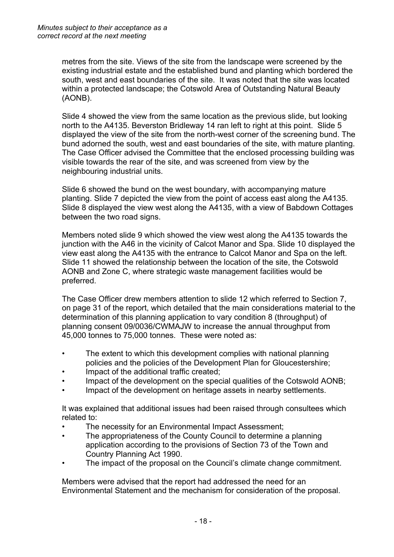metres from the site. Views of the site from the landscape were screened by the existing industrial estate and the established bund and planting which bordered the south, west and east boundaries of the site. It was noted that the site was located within a protected landscape; the Cotswold Area of Outstanding Natural Beauty (AONB).

Slide 4 showed the view from the same location as the previous slide, but looking north to the A4135. Beverston Bridleway 14 ran left to right at this point. Slide 5 displayed the view of the site from the north-west corner of the screening bund. The bund adorned the south, west and east boundaries of the site, with mature planting. The Case Officer advised the Committee that the enclosed processing building was visible towards the rear of the site, and was screened from view by the neighbouring industrial units.

Slide 6 showed the bund on the west boundary, with accompanying mature planting. Slide 7 depicted the view from the point of access east along the A4135. Slide 8 displayed the view west along the A4135, with a view of Babdown Cottages between the two road signs.

Members noted slide 9 which showed the view west along the A4135 towards the junction with the A46 in the vicinity of Calcot Manor and Spa. Slide 10 displayed the view east along the A4135 with the entrance to Calcot Manor and Spa on the left. Slide 11 showed the relationship between the location of the site, the Cotswold AONB and Zone C, where strategic waste management facilities would be preferred.

The Case Officer drew members attention to slide 12 which referred to Section 7, on page 31 of the report, which detailed that the main considerations material to the determination of this planning application to vary condition 8 (throughput) of planning consent 09/0036/CWMAJW to increase the annual throughput from 45,000 tonnes to 75,000 tonnes. These were noted as:

- The extent to which this development complies with national planning policies and the policies of the Development Plan for Gloucestershire;
- Impact of the additional traffic created;
- Impact of the development on the special qualities of the Cotswold AONB;
- Impact of the development on heritage assets in nearby settlements.

It was explained that additional issues had been raised through consultees which related to:

- The necessity for an Environmental Impact Assessment;
- The appropriateness of the County Council to determine a planning application according to the provisions of Section 73 of the Town and Country Planning Act 1990.
- The impact of the proposal on the Council's climate change commitment.

Members were advised that the report had addressed the need for an Environmental Statement and the mechanism for consideration of the proposal.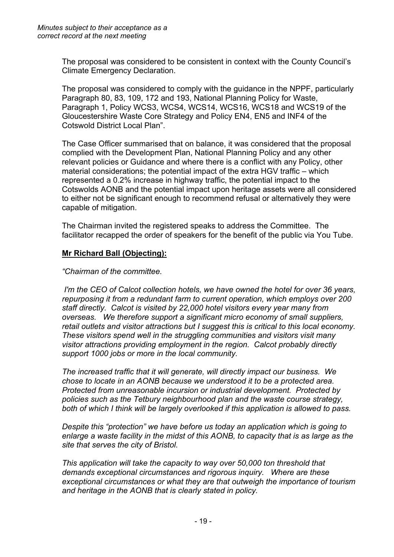The proposal was considered to be consistent in context with the County Council's Climate Emergency Declaration.

The proposal was considered to comply with the guidance in the NPPF, particularly Paragraph 80, 83, 109, 172 and 193, National Planning Policy for Waste, Paragraph 1, Policy WCS3, WCS4, WCS14, WCS16, WCS18 and WCS19 of the Gloucestershire Waste Core Strategy and Policy EN4, EN5 and INF4 of the Cotswold District Local Plan".

The Case Officer summarised that on balance, it was considered that the proposal complied with the Development Plan, National Planning Policy and any other relevant policies or Guidance and where there is a conflict with any Policy, other material considerations; the potential impact of the extra HGV traffic – which represented a 0.2% increase in highway traffic, the potential impact to the Cotswolds AONB and the potential impact upon heritage assets were all considered to either not be significant enough to recommend refusal or alternatively they were capable of mitigation.

The Chairman invited the registered speaks to address the Committee. The facilitator recapped the order of speakers for the benefit of the public via You Tube.

# **Mr Richard Ball (Objecting):**

*"Chairman of the committee.*

*I'm the CEO of Calcot collection hotels, we have owned the hotel for over 36 years, repurposing it from a redundant farm to current operation, which employs over 200 staff directly. Calcot is visited by 22,000 hotel visitors every year many from overseas. We therefore support a significant micro economy of small suppliers, retail outlets and visitor attractions but I suggest this is critical to this local economy. These visitors spend well in the struggling communities and visitors visit many visitor attractions providing employment in the region. Calcot probably directly support 1000 jobs or more in the local community.* 

*The increased traffic that it will generate, will directly impact our business. We chose to locate in an AONB because we understood it to be a protected area. Protected from unreasonable incursion or industrial development. Protected by policies such as the Tetbury neighbourhood plan and the waste course strategy, both of which I think will be largely overlooked if this application is allowed to pass.*

*Despite this "protection" we have before us today an application which is going to enlarge a waste facility in the midst of this AONB, to capacity that is as large as the site that serves the city of Bristol.* 

*This application will take the capacity to way over 50,000 ton threshold that demands exceptional circumstances and rigorous inquiry. Where are these exceptional circumstances or what they are that outweigh the importance of tourism and heritage in the AONB that is clearly stated in policy.*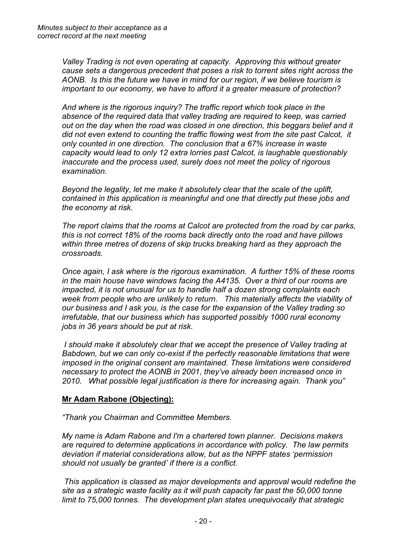*Valley Trading is not even operating at capacity. Approving this without greater cause sets a dangerous precedent that poses a risk to torrent sites right across the AONB. Is this the future we have in mind for our region, if we believe tourism is important to our economy, we have to afford it a greater measure of protection?* 

*And where is the rigorous inquiry? The traffic report which took place in the absence of the required data that valley trading are required to keep, was carried out on the day when the road was closed in one direction, this beggars belief and it did not even extend to counting the traffic flowing west from the site past Calcot, it only counted in one direction. The conclusion that a 67% increase in waste capacity would lead to only 12 extra lorries past Calcot, is laughable questionably inaccurate and the process used, surely does not meet the policy of rigorous examination.* 

*Beyond the legality, let me make it absolutely clear that the scale of the uplift, contained in this application is meaningful and one that directly put these jobs and the economy at risk.* 

*The report claims that the rooms at Calcot are protected from the road by car parks, this is not correct 18% of the rooms back directly onto the road and have pillows within three metres of dozens of skip trucks breaking hard as they approach the crossroads.* 

*Once again, I ask where is the rigorous examination. A further 15% of these rooms in the main house have windows facing the A4135. Over a third of our rooms are impacted, it is not unusual for us to handle half a dozen strong complaints each week from people who are unlikely to return. This materially affects the viability of our business and I ask you, is the case for the expansion of the Valley trading so irrefutable, that our business which has supported possibly 1000 rural economy jobs in 36 years should be put at risk.* 

*I should make it absolutely clear that we accept the presence of Valley trading at Babdown, but we can only co-exist if the perfectly reasonable limitations that were imposed in the original consent are maintained. These limitations were considered necessary to protect the AONB in 2001, they've already been increased once in 2010. What possible legal justification is there for increasing again. Thank you"*

# **Mr Adam Rabone (Objecting):**

*"Thank you Chairman and Committee Members.*

*My name is Adam Rabone and I'm a chartered town planner. Decisions makers are required to determine applications in accordance with policy. The law permits deviation if material considerations allow, but as the NPPF states 'permission should not usually be granted' if there is a conflict.*

*This application is classed as major developments and approval would redefine the site as a strategic waste facility as it will push capacity far past the 50,000 tonne limit to 75,000 tonnes. The development plan states unequivocally that strategic*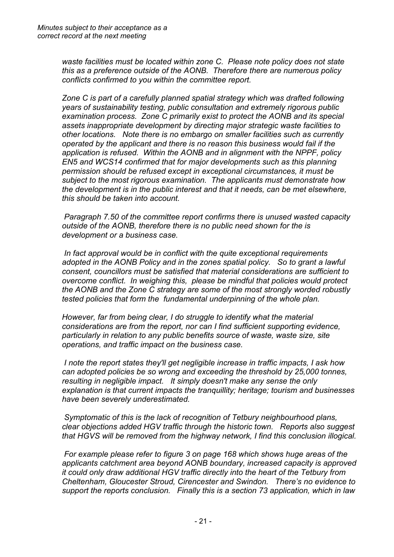*waste facilities must be located within zone C. Please note policy does not state this as a preference outside of the AONB. Therefore there are numerous policy conflicts confirmed to you within the committee report.* 

*Zone C is part of a carefully planned spatial strategy which was drafted following years of sustainability testing, public consultation and extremely rigorous public examination process. Zone C primarily exist to protect the AONB and its special assets inappropriate development by directing major strategic waste facilities to other locations. Note there is no embargo on smaller facilities such as currently operated by the applicant and there is no reason this business would fail if the application is refused. Within the AONB and in alignment with the NPPF, policy EN5 and WCS14 confirmed that for major developments such as this planning permission should be refused except in exceptional circumstances, it must be subject to the most rigorous examination. The applicants must demonstrate how the development is in the public interest and that it needs, can be met elsewhere, this should be taken into account.* 

*Paragraph 7.50 of the committee report confirms there is unused wasted capacity outside of the AONB, therefore there is no public need shown for the is development or a business case.* 

*In fact approval would be in conflict with the quite exceptional requirements adopted in the AONB Policy and in the zones spatial policy. So to grant a lawful consent, councillors must be satisfied that material considerations are sufficient to overcome conflict. In weighing this, please be mindful that policies would protect the AONB and the Zone C strategy are some of the most strongly worded robustly tested policies that form the fundamental underpinning of the whole plan.* 

*However, far from being clear, I do struggle to identify what the material considerations are from the report, nor can I find sufficient supporting evidence, particularly in relation to any public benefits source of waste, waste size, site operations, and traffic impact on the business case.* 

*I note the report states they'll get negligible increase in traffic impacts, I ask how can adopted policies be so wrong and exceeding the threshold by 25,000 tonnes, resulting in negligible impact. It simply doesn't make any sense the only explanation is that current impacts the tranquillity; heritage; tourism and businesses have been severely underestimated.* 

*Symptomatic of this is the lack of recognition of Tetbury neighbourhood plans, clear objections added HGV traffic through the historic town. Reports also suggest that HGVS will be removed from the highway network, I find this conclusion illogical.*

*For example please refer to figure 3 on page 168 which shows huge areas of the applicants catchment area beyond AONB boundary, increased capacity is approved it could only draw additional HGV traffic directly into the heart of the Tetbury from Cheltenham, Gloucester Stroud, Cirencester and Swindon. There's no evidence to support the reports conclusion. Finally this is a section 73 application, which in law*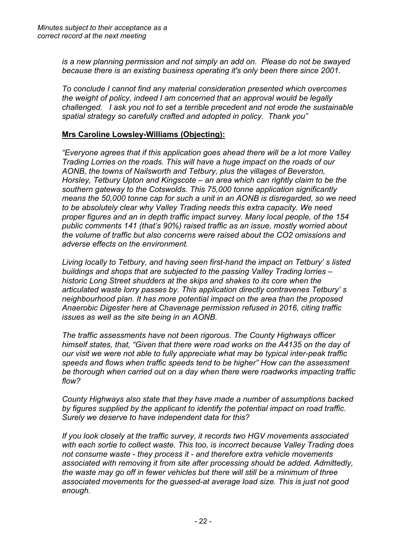*is a new planning permission and not simply an add on. Please do not be swayed because there is an existing business operating it's only been there since 2001.*

*To conclude I cannot find any material consideration presented which overcomes the weight of policy, indeed I am concerned that an approval would be legally challenged. I ask you not to set a terrible precedent and not erode the sustainable spatial strategy so carefully crafted and adopted in policy. Thank you"*

# **Mrs Caroline Lowsley-Williams (Objecting):**

*"Everyone agrees that if this application goes ahead there will be a lot more Valley Trading Lorries on the roads. This will have a huge impact on the roads of our AONB, the towns of Nailsworth and Tetbury, plus the villages of Beverston, Horsley, Tetbury Upton and Kingscote – an area which can rightly claim to be the southern gateway to the Cotswolds. This 75,000 tonne application significantly means the 50,000 tonne cap for such a unit in an AONB is disregarded, so we need to be absolutely clear why Valley Trading needs this extra capacity. We need proper figures and an in depth traffic impact survey. Many local people, of the 154 public comments 141 (that's 90%) raised traffic as an issue, mostly worried about the volume of traffic but also concerns were raised about the CO2 omissions and adverse effects on the environment.*

*Living locally to Tetbury, and having seen first-hand the impact on Tetbury' s listed buildings and shops that are subjected to the passing Valley Trading lorries – historic Long Street shudders at the skips and shakes to its core when the articulated waste lorry passes by. This application directly contravenes Tetbury' s neighbourhood plan. It has more potential impact on the area than the proposed Anaerobic Digester here at Chavenage permission refused in 2016, citing traffic issues as well as the site being in an AONB.* 

*The traffic assessments have not been rigorous. The County Highways officer himself states, that, "Given that there were road works on the A4135 on the day of our visit we were not able to fully appreciate what may be typical inter-peak traffic speeds and flows when traffic speeds tend to be higher" How can the assessment be thorough when carried out on a day when there were roadworks impacting traffic flow?* 

*County Highways also state that they have made a number of assumptions backed by figures supplied by the applicant to identify the potential impact on road traffic. Surely we deserve to have independent data for this?* 

*If you look closely at the traffic survey, it records two HGV movements associated with each sortie to collect waste. This too, is incorrect because Valley Trading does not consume waste - they process it - and therefore extra vehicle movements associated with removing it from site after processing should be added. Admittedly, the waste may go off in fewer vehicles but there will still be a minimum of three associated movements for the guessed-at average load size. This is just not good enough.*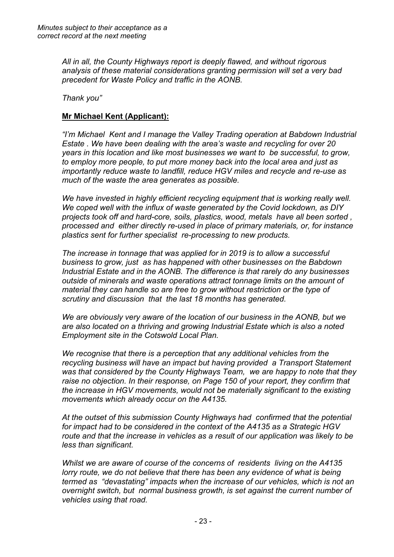*All in all, the County Highways report is deeply flawed, and without rigorous analysis of these material considerations granting permission will set a very bad precedent for Waste Policy and traffic in the AONB.*

*Thank you"*

# **Mr Michael Kent (Applicant):**

*"I'm Michael Kent and I manage the Valley Trading operation at Babdown Industrial Estate . We have been dealing with the area's waste and recycling for over 20 years in this location and like most businesses we want to be successful, to grow, to employ more people, to put more money back into the local area and just as importantly reduce waste to landfill, reduce HGV miles and recycle and re-use as much of the waste the area generates as possible.*

*We have invested in highly efficient recycling equipment that is working really well. We coped well with the influx of waste generated by the Covid lockdown, as DIY projects took off and hard-core, soils, plastics, wood, metals have all been sorted , processed and either directly re-used in place of primary materials, or, for instance plastics sent for further specialist re-processing to new products.*

*The increase in tonnage that was applied for in 2019 is to allow a successful business to grow, just as has happened with other businesses on the Babdown Industrial Estate and in the AONB. The difference is that rarely do any businesses outside of minerals and waste operations attract tonnage limits on the amount of material they can handle so are free to grow without restriction or the type of scrutiny and discussion that the last 18 months has generated.*

*We are obviously very aware of the location of our business in the AONB, but we are also located on a thriving and growing Industrial Estate which is also a noted Employment site in the Cotswold Local Plan.*

*We recognise that there is a perception that any additional vehicles from the recycling business will have an impact but having provided a Transport Statement was that considered by the County Highways Team, we are happy to note that they raise no objection. In their response, on Page 150 of your report, they confirm that the increase in HGV movements, would not be materially significant to the existing movements which already occur on the A4135.* 

*At the outset of this submission County Highways had confirmed that the potential for impact had to be considered in the context of the A4135 as a Strategic HGV route and that the increase in vehicles as a result of our application was likely to be less than significant.*

*Whilst we are aware of course of the concerns of residents living on the A4135 lorry route, we do not believe that there has been any evidence of what is being termed as "devastating" impacts when the increase of our vehicles, which is not an overnight switch, but normal business growth, is set against the current number of vehicles using that road.*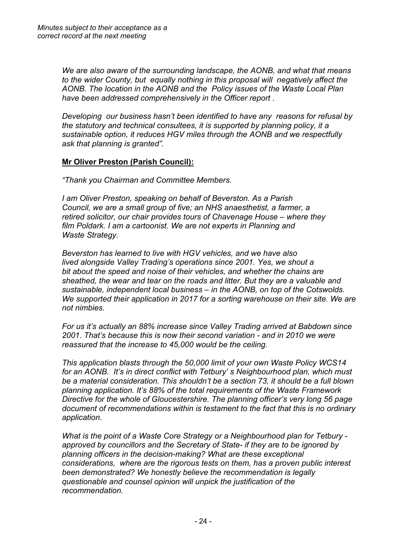*We are also aware of the surrounding landscape, the AONB, and what that means to the wider County, but equally nothing in this proposal will negatively affect the AONB. The location in the AONB and the Policy issues of the Waste Local Plan have been addressed comprehensively in the Officer report .*

*Developing our business hasn't been identified to have any reasons for refusal by the statutory and technical consultees, it is supported by planning policy, it a sustainable option, it reduces HGV miles through the AONB and we respectfully ask that planning is granted".*

# **Mr Oliver Preston (Parish Council):**

*"Thank you Chairman and Committee Members.* 

*I am Oliver Preston, speaking on behalf of Beverston. As a Parish Council, we are a small group of five; an NHS anaesthetist, a farmer, a retired solicitor, our chair provides tours of Chavenage House – where they film Poldark. I am a cartoonist. We are not experts in Planning and Waste Strategy.*

*Beverston has learned to live with HGV vehicles, and we have also lived alongside Valley Trading's operations since 2001. Yes, we shout a bit about the speed and noise of their vehicles, and whether the chains are sheathed, the wear and tear on the roads and litter. But they are a valuable and sustainable, independent local business – in the AONB, on top of the Cotswolds. We supported their application in 2017 for a sorting warehouse on their site. We are not nimbies.*

*For us it's actually an 88% increase since Valley Trading arrived at Babdown since 2001. That's because this is now their second variation - and in 2010 we were reassured that the increase to 45,000 would be the ceiling.*

*This application blasts through the 50,000 limit of your own Waste Policy WCS14 for an AONB. It's in direct conflict with Tetbury' s Neighbourhood plan, which must be a material consideration. This shouldn't be a section 73, it should be a full blown planning application. It's 88% of the total requirements of the Waste Framework Directive for the whole of Gloucestershire. The planning officer's very long 56 page document of recommendations within is testament to the fact that this is no ordinary application.*

*What is the point of a Waste Core Strategy or a Neighbourhood plan for Tetbury approved by councillors and the Secretary of State- if they are to be ignored by planning officers in the decision-making? What are these exceptional considerations, where are the rigorous tests on them, has a proven public interest been demonstrated? We honestly believe the recommendation is legally questionable and counsel opinion will unpick the justification of the recommendation.*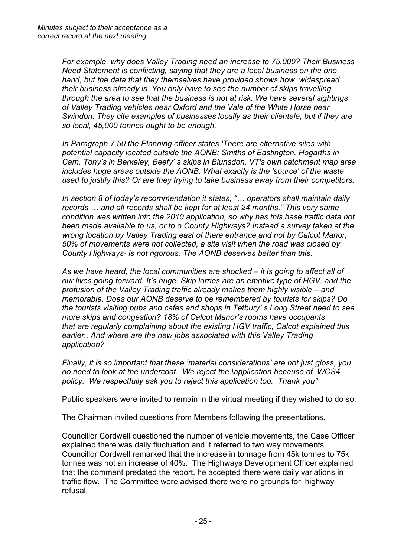*For example, why does Valley Trading need an increase to 75,000? Their Business Need Statement is conflicting, saying that they are a local business on the one hand, but the data that they themselves have provided shows how widespread their business already is. You only have to see the number of skips travelling through the area to see that the business is not at risk. We have several sightings of Valley Trading vehicles near Oxford and the Vale of the White Horse near Swindon. They cite examples of businesses locally as their clientele, but if they are so local, 45,000 tonnes ought to be enough.* 

*In Paragraph 7.50 the Planning officer states 'There are alternative sites with potential capacity located outside the AONB: Smiths of Eastington, Hogarths in Cam, Tony's in Berkeley, Beefy' s skips in Blunsdon. VT's own catchment map area includes huge areas outside the AONB. What exactly is the 'source' of the waste used to justify this? Or are they trying to take business away from their competitors.* 

*In section 8 of today's recommendation it states, "… operators shall maintain daily records … and all records shall be kept for at least 24 months." This very same condition was written into the 2010 application, so why has this base traffic data not been made available to us, or to o County Highways? Instead a survey taken at the wrong location by Valley Trading east of there entrance and not by Calcot Manor, 50% of movements were not collected, a site visit when the road was closed by County Highways- is not rigorous. The AONB deserves better than this.*

*As we have heard, the local communities are shocked – it is going to affect all of our lives going forward. It's huge. Skip lorries are an emotive type of HGV, and the profusion of the Valley Trading traffic already makes them highly visible – and memorable. Does our AONB deserve to be remembered by tourists for skips? Do the tourists visiting pubs and cafes and shops in Tetbury' s Long Street need to see more skips and congestion? 18% of Calcot Manor's rooms have occupants that are regularly complaining about the existing HGV traffic, Calcot explained this earlier.. And where are the new jobs associated with this Valley Trading application?*

*Finally, it is so important that these 'material considerations' are not just gloss, you do need to look at the undercoat. We reject the \application because of WCS4 policy. We respectfully ask you to reject this application too. Thank you"*

Public speakers were invited to remain in the virtual meeting if they wished to do so.

The Chairman invited questions from Members following the presentations.

Councillor Cordwell questioned the number of vehicle movements, the Case Officer explained there was daily fluctuation and it referred to two way movements. Councillor Cordwell remarked that the increase in tonnage from 45k tonnes to 75k tonnes was not an increase of 40%. The Highways Development Officer explained that the comment predated the report, he accepted there were daily variations in traffic flow. The Committee were advised there were no grounds for highway refusal.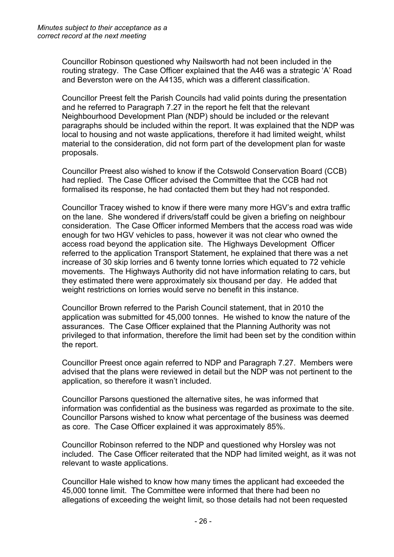Councillor Robinson questioned why Nailsworth had not been included in the routing strategy. The Case Officer explained that the A46 was a strategic 'A' Road and Beverston were on the A4135, which was a different classification.

Councillor Preest felt the Parish Councils had valid points during the presentation and he referred to Paragraph 7.27 in the report he felt that the relevant Neighbourhood Development Plan (NDP) should be included or the relevant paragraphs should be included within the report. It was explained that the NDP was local to housing and not waste applications, therefore it had limited weight, whilst material to the consideration, did not form part of the development plan for waste proposals.

Councillor Preest also wished to know if the Cotswold Conservation Board (CCB) had replied. The Case Officer advised the Committee that the CCB had not formalised its response, he had contacted them but they had not responded.

Councillor Tracey wished to know if there were many more HGV's and extra traffic on the lane. She wondered if drivers/staff could be given a briefing on neighbour consideration. The Case Officer informed Members that the access road was wide enough for two HGV vehicles to pass, however it was not clear who owned the access road beyond the application site. The Highways Development Officer referred to the application Transport Statement, he explained that there was a net increase of 30 skip lorries and 6 twenty tonne lorries which equated to 72 vehicle movements. The Highways Authority did not have information relating to cars, but they estimated there were approximately six thousand per day. He added that weight restrictions on lorries would serve no benefit in this instance.

Councillor Brown referred to the Parish Council statement, that in 2010 the application was submitted for 45,000 tonnes. He wished to know the nature of the assurances. The Case Officer explained that the Planning Authority was not privileged to that information, therefore the limit had been set by the condition within the report.

Councillor Preest once again referred to NDP and Paragraph 7.27. Members were advised that the plans were reviewed in detail but the NDP was not pertinent to the application, so therefore it wasn't included.

Councillor Parsons questioned the alternative sites, he was informed that information was confidential as the business was regarded as proximate to the site. Councillor Parsons wished to know what percentage of the business was deemed as core. The Case Officer explained it was approximately 85%.

Councillor Robinson referred to the NDP and questioned why Horsley was not included. The Case Officer reiterated that the NDP had limited weight, as it was not relevant to waste applications.

Councillor Hale wished to know how many times the applicant had exceeded the 45,000 tonne limit. The Committee were informed that there had been no allegations of exceeding the weight limit, so those details had not been requested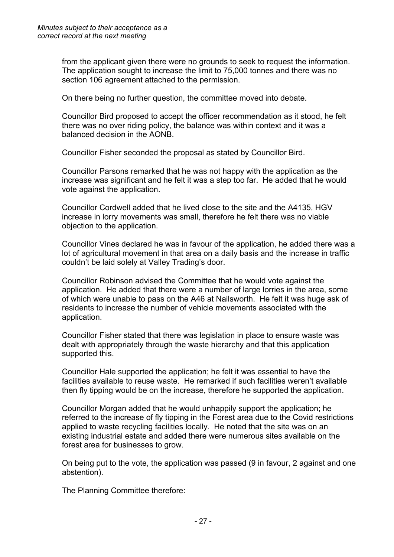from the applicant given there were no grounds to seek to request the information. The application sought to increase the limit to 75,000 tonnes and there was no section 106 agreement attached to the permission.

On there being no further question, the committee moved into debate.

Councillor Bird proposed to accept the officer recommendation as it stood, he felt there was no over riding policy, the balance was within context and it was a balanced decision in the AONB.

Councillor Fisher seconded the proposal as stated by Councillor Bird.

Councillor Parsons remarked that he was not happy with the application as the increase was significant and he felt it was a step too far. He added that he would vote against the application.

Councillor Cordwell added that he lived close to the site and the A4135, HGV increase in lorry movements was small, therefore he felt there was no viable objection to the application.

Councillor Vines declared he was in favour of the application, he added there was a lot of agricultural movement in that area on a daily basis and the increase in traffic couldn't be laid solely at Valley Trading's door.

Councillor Robinson advised the Committee that he would vote against the application. He added that there were a number of large lorries in the area, some of which were unable to pass on the A46 at Nailsworth. He felt it was huge ask of residents to increase the number of vehicle movements associated with the application.

Councillor Fisher stated that there was legislation in place to ensure waste was dealt with appropriately through the waste hierarchy and that this application supported this.

Councillor Hale supported the application; he felt it was essential to have the facilities available to reuse waste. He remarked if such facilities weren't available then fly tipping would be on the increase, therefore he supported the application.

Councillor Morgan added that he would unhappily support the application; he referred to the increase of fly tipping in the Forest area due to the Covid restrictions applied to waste recycling facilities locally. He noted that the site was on an existing industrial estate and added there were numerous sites available on the forest area for businesses to grow.

On being put to the vote, the application was passed (9 in favour, 2 against and one abstention).

The Planning Committee therefore: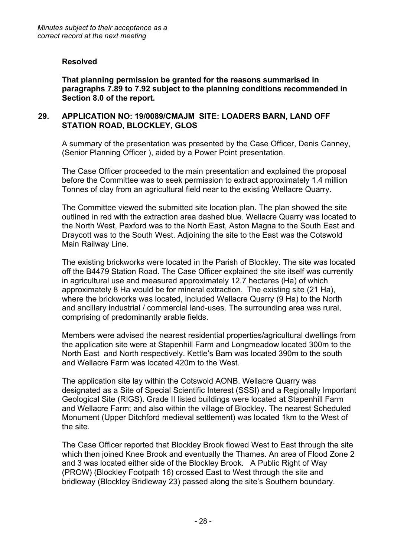#### **Resolved**

**That planning permission be granted for the reasons summarised in paragraphs 7.89 to 7.92 subject to the planning conditions recommended in Section 8.0 of the report.** 

## **29. APPLICATION NO: 19/0089/CMAJM SITE: LOADERS BARN, LAND OFF STATION ROAD, BLOCKLEY, GLOS**

A summary of the presentation was presented by the Case Officer, Denis Canney, (Senior Planning Officer ), aided by a Power Point presentation.

The Case Officer proceeded to the main presentation and explained the proposal before the Committee was to seek permission to extract approximately 1.4 million Tonnes of clay from an agricultural field near to the existing Wellacre Quarry.

The Committee viewed the submitted site location plan. The plan showed the site outlined in red with the extraction area dashed blue. Wellacre Quarry was located to the North West, Paxford was to the North East, Aston Magna to the South East and Draycott was to the South West. Adjoining the site to the East was the Cotswold Main Railway Line.

The existing brickworks were located in the Parish of Blockley. The site was located off the B4479 Station Road. The Case Officer explained the site itself was currently in agricultural use and measured approximately 12.7 hectares (Ha) of which approximately 8 Ha would be for mineral extraction. The existing site (21 Ha), where the brickworks was located, included Wellacre Quarry (9 Ha) to the North and ancillary industrial / commercial land-uses. The surrounding area was rural, comprising of predominantly arable fields.

Members were advised the nearest residential properties/agricultural dwellings from the application site were at Stapenhill Farm and Longmeadow located 300m to the North East and North respectively. Kettle's Barn was located 390m to the south and Wellacre Farm was located 420m to the West.

The application site lay within the Cotswold AONB. Wellacre Quarry was designated as a Site of Special Scientific Interest (SSSI) and a Regionally Important Geological Site (RIGS). Grade II listed buildings were located at Stapenhill Farm and Wellacre Farm; and also within the village of Blockley. The nearest Scheduled Monument (Upper Ditchford medieval settlement) was located 1km to the West of the site.

The Case Officer reported that Blockley Brook flowed West to East through the site which then joined Knee Brook and eventually the Thames. An area of Flood Zone 2 and 3 was located either side of the Blockley Brook. A Public Right of Way (PROW) (Blockley Footpath 16) crossed East to West through the site and bridleway (Blockley Bridleway 23) passed along the site's Southern boundary.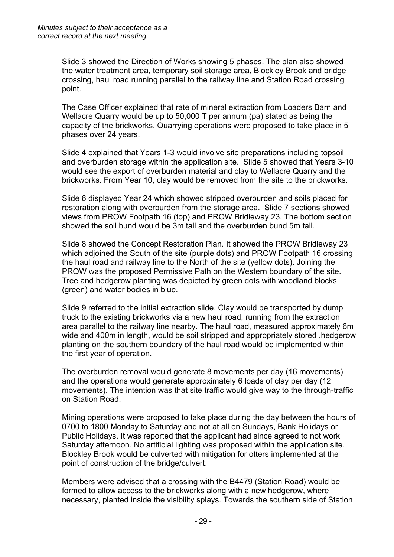Slide 3 showed the Direction of Works showing 5 phases. The plan also showed the water treatment area, temporary soil storage area, Blockley Brook and bridge crossing, haul road running parallel to the railway line and Station Road crossing point.

The Case Officer explained that rate of mineral extraction from Loaders Barn and Wellacre Quarry would be up to 50,000 T per annum (pa) stated as being the capacity of the brickworks. Quarrying operations were proposed to take place in 5 phases over 24 years.

Slide 4 explained that Years 1-3 would involve site preparations including topsoil and overburden storage within the application site. Slide 5 showed that Years 3-10 would see the export of overburden material and clay to Wellacre Quarry and the brickworks. From Year 10, clay would be removed from the site to the brickworks.

Slide 6 displayed Year 24 which showed stripped overburden and soils placed for restoration along with overburden from the storage area. Slide 7 sections showed views from PROW Footpath 16 (top) and PROW Bridleway 23. The bottom section showed the soil bund would be 3m tall and the overburden bund 5m tall.

Slide 8 showed the Concept Restoration Plan. It showed the PROW Bridleway 23 which adjoined the South of the site (purple dots) and PROW Footpath 16 crossing the haul road and railway line to the North of the site (yellow dots). Joining the PROW was the proposed Permissive Path on the Western boundary of the site. Tree and hedgerow planting was depicted by green dots with woodland blocks (green) and water bodies in blue.

Slide 9 referred to the initial extraction slide. Clay would be transported by dump truck to the existing brickworks via a new haul road, running from the extraction area parallel to the railway line nearby. The haul road, measured approximately 6m wide and 400m in length, would be soil stripped and appropriately stored .hedgerow planting on the southern boundary of the haul road would be implemented within the first year of operation.

The overburden removal would generate 8 movements per day (16 movements) and the operations would generate approximately 6 loads of clay per day (12 movements). The intention was that site traffic would give way to the through-traffic on Station Road.

Mining operations were proposed to take place during the day between the hours of 0700 to 1800 Monday to Saturday and not at all on Sundays, Bank Holidays or Public Holidays. It was reported that the applicant had since agreed to not work Saturday afternoon. No artificial lighting was proposed within the application site. Blockley Brook would be culverted with mitigation for otters implemented at the point of construction of the bridge/culvert.

Members were advised that a crossing with the B4479 (Station Road) would be formed to allow access to the brickworks along with a new hedgerow, where necessary, planted inside the visibility splays. Towards the southern side of Station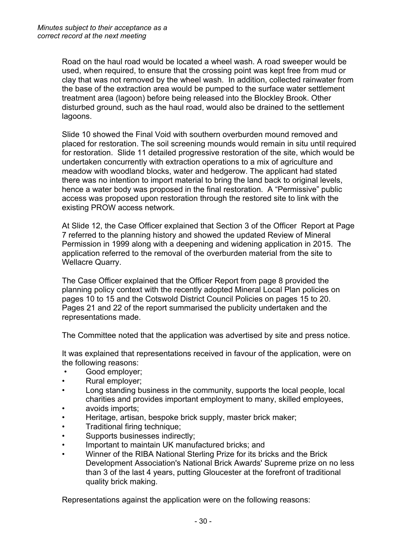Road on the haul road would be located a wheel wash. A road sweeper would be used, when required, to ensure that the crossing point was kept free from mud or clay that was not removed by the wheel wash. In addition, collected rainwater from the base of the extraction area would be pumped to the surface water settlement treatment area (lagoon) before being released into the Blockley Brook. Other disturbed ground, such as the haul road, would also be drained to the settlement lagoons.

Slide 10 showed the Final Void with southern overburden mound removed and placed for restoration. The soil screening mounds would remain in situ until required for restoration. Slide 11 detailed progressive restoration of the site, which would be undertaken concurrently with extraction operations to a mix of agriculture and meadow with woodland blocks, water and hedgerow. The applicant had stated there was no intention to import material to bring the land back to original levels, hence a water body was proposed in the final restoration. A "Permissive" public access was proposed upon restoration through the restored site to link with the existing PROW access network.

At Slide 12, the Case Officer explained that Section 3 of the Officer Report at Page 7 referred to the planning history and showed the updated Review of Mineral Permission in 1999 along with a deepening and widening application in 2015. The application referred to the removal of the overburden material from the site to Wellacre Quarry.

The Case Officer explained that the Officer Report from page 8 provided the planning policy context with the recently adopted Mineral Local Plan policies on pages 10 to 15 and the Cotswold District Council Policies on pages 15 to 20. Pages 21 and 22 of the report summarised the publicity undertaken and the representations made.

The Committee noted that the application was advertised by site and press notice.

It was explained that representations received in favour of the application, were on the following reasons:

- Good employer;
- Rural employer;
- Long standing business in the community, supports the local people, local charities and provides important employment to many, skilled employees,
- avoids imports;
- Heritage, artisan, bespoke brick supply, master brick maker;
- Traditional firing technique:
- Supports businesses indirectly;
- Important to maintain UK manufactured bricks; and
- Winner of the RIBA National Sterling Prize for its bricks and the Brick Development Association's National Brick Awards' Supreme prize on no less than 3 of the last 4 years, putting Gloucester at the forefront of traditional quality brick making.

Representations against the application were on the following reasons: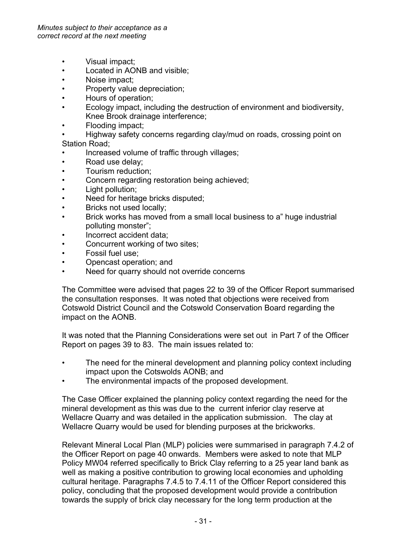- Visual impact;
- Located in AONB and visible;
- Noise impact;
- Property value depreciation;
- Hours of operation;
- Ecology impact, including the destruction of environment and biodiversity, Knee Brook drainage interference;
- Flooding impact;
- Highway safety concerns regarding clay/mud on roads, crossing point on Station Road;
- Increased volume of traffic through villages;
- Road use delay;
- Tourism reduction;
- Concern regarding restoration being achieved;
- Light pollution;
- Need for heritage bricks disputed;
- Bricks not used locally;
- Brick works has moved from a small local business to a" huge industrial polluting monster";
- Incorrect accident data;
- Concurrent working of two sites;
- Fossil fuel use;
- Opencast operation; and
- Need for quarry should not override concerns

The Committee were advised that pages 22 to 39 of the Officer Report summarised the consultation responses. It was noted that objections were received from Cotswold District Council and the Cotswold Conservation Board regarding the impact on the AONB.

It was noted that the Planning Considerations were set out in Part 7 of the Officer Report on pages 39 to 83. The main issues related to:

- The need for the mineral development and planning policy context including impact upon the Cotswolds AONB; and
- The environmental impacts of the proposed development.

The Case Officer explained the planning policy context regarding the need for the mineral development as this was due to the current inferior clay reserve at Wellacre Quarry and was detailed in the application submission. The clay at Wellacre Quarry would be used for blending purposes at the brickworks.

Relevant Mineral Local Plan (MLP) policies were summarised in paragraph 7.4.2 of the Officer Report on page 40 onwards. Members were asked to note that MLP Policy MW04 referred specifically to Brick Clay referring to a 25 year land bank as well as making a positive contribution to growing local economies and upholding cultural heritage. Paragraphs 7.4.5 to 7.4.11 of the Officer Report considered this policy, concluding that the proposed development would provide a contribution towards the supply of brick clay necessary for the long term production at the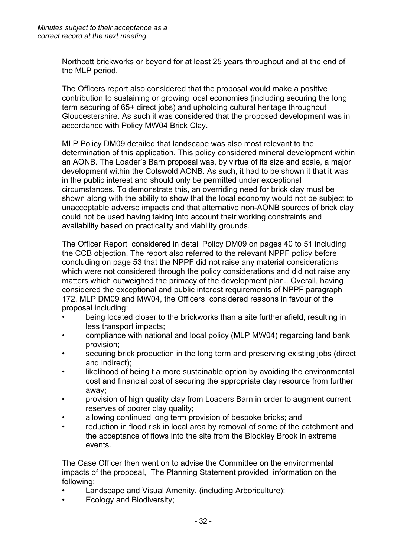Northcott brickworks or beyond for at least 25 years throughout and at the end of the MLP period.

The Officers report also considered that the proposal would make a positive contribution to sustaining or growing local economies (including securing the long term securing of 65+ direct jobs) and upholding cultural heritage throughout Gloucestershire. As such it was considered that the proposed development was in accordance with Policy MW04 Brick Clay.

MLP Policy DM09 detailed that landscape was also most relevant to the determination of this application. This policy considered mineral development within an AONB. The Loader's Barn proposal was, by virtue of its size and scale, a major development within the Cotswold AONB. As such, it had to be shown it that it was in the public interest and should only be permitted under exceptional circumstances. To demonstrate this, an overriding need for brick clay must be shown along with the ability to show that the local economy would not be subject to unacceptable adverse impacts and that alternative non-AONB sources of brick clay could not be used having taking into account their working constraints and availability based on practicality and viability grounds.

The Officer Report considered in detail Policy DM09 on pages 40 to 51 including the CCB objection. The report also referred to the relevant NPPF policy before concluding on page 53 that the NPPF did not raise any material considerations which were not considered through the policy considerations and did not raise any matters which outweighed the primacy of the development plan.. Overall, having considered the exceptional and public interest requirements of NPPF paragraph 172, MLP DM09 and MW04, the Officers considered reasons in favour of the proposal including:

- being located closer to the brickworks than a site further afield, resulting in less transport impacts;
- compliance with national and local policy (MLP MW04) regarding land bank provision;
- securing brick production in the long term and preserving existing jobs (direct and indirect);
- likelihood of being t a more sustainable option by avoiding the environmental cost and financial cost of securing the appropriate clay resource from further away;
- provision of high quality clay from Loaders Barn in order to augment current reserves of poorer clay quality;
- allowing continued long term provision of bespoke bricks; and
- reduction in flood risk in local area by removal of some of the catchment and the acceptance of flows into the site from the Blockley Brook in extreme events.

The Case Officer then went on to advise the Committee on the environmental impacts of the proposal, The Planning Statement provided information on the following;

- Landscape and Visual Amenity, (including Arboriculture);
- Ecology and Biodiversity;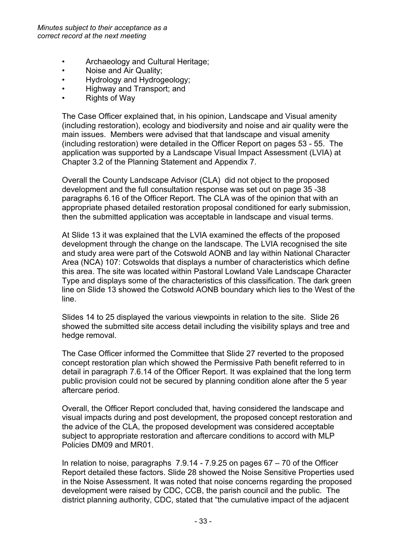- Archaeology and Cultural Heritage;
- Noise and Air Quality;
- Hydrology and Hydrogeology;
- Highway and Transport; and
- Rights of Way

The Case Officer explained that, in his opinion, Landscape and Visual amenity (including restoration), ecology and biodiversity and noise and air quality were the main issues. Members were advised that that landscape and visual amenity (including restoration) were detailed in the Officer Report on pages 53 - 55. The application was supported by a Landscape Visual Impact Assessment (LVIA) at Chapter 3.2 of the Planning Statement and Appendix 7.

Overall the County Landscape Advisor (CLA) did not object to the proposed development and the full consultation response was set out on page 35 -38 paragraphs 6.16 of the Officer Report. The CLA was of the opinion that with an appropriate phased detailed restoration proposal conditioned for early submission, then the submitted application was acceptable in landscape and visual terms.

At Slide 13 it was explained that the LVIA examined the effects of the proposed development through the change on the landscape. The LVIA recognised the site and study area were part of the Cotswold AONB and lay within National Character Area (NCA) 107: Cotswolds that displays a number of characteristics which define this area. The site was located within Pastoral Lowland Vale Landscape Character Type and displays some of the characteristics of this classification. The dark green line on Slide 13 showed the Cotswold AONB boundary which lies to the West of the line.

Slides 14 to 25 displayed the various viewpoints in relation to the site. Slide 26 showed the submitted site access detail including the visibility splays and tree and hedge removal.

The Case Officer informed the Committee that Slide 27 reverted to the proposed concept restoration plan which showed the Permissive Path benefit referred to in detail in paragraph 7.6.14 of the Officer Report. It was explained that the long term public provision could not be secured by planning condition alone after the 5 year aftercare period.

Overall, the Officer Report concluded that, having considered the landscape and visual impacts during and post development, the proposed concept restoration and the advice of the CLA, the proposed development was considered acceptable subject to appropriate restoration and aftercare conditions to accord with MLP Policies DM09 and MR01.

In relation to noise, paragraphs  $7.9.14 - 7.9.25$  on pages  $67 - 70$  of the Officer Report detailed these factors. Slide 28 showed the Noise Sensitive Properties used in the Noise Assessment. It was noted that noise concerns regarding the proposed development were raised by CDC, CCB, the parish council and the public. The district planning authority, CDC, stated that "the cumulative impact of the adjacent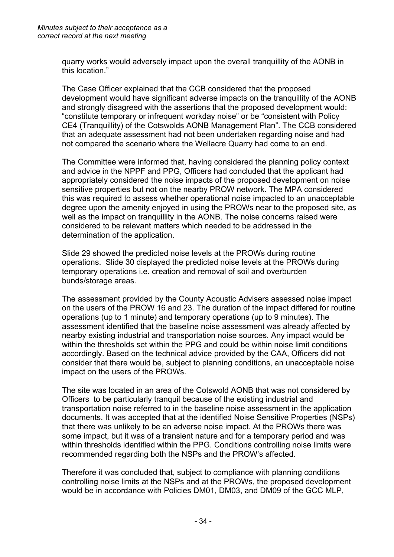quarry works would adversely impact upon the overall tranquillity of the AONB in this location."

The Case Officer explained that the CCB considered that the proposed development would have significant adverse impacts on the tranquillity of the AONB and strongly disagreed with the assertions that the proposed development would: "constitute temporary or infrequent workday noise" or be "consistent with Policy CE4 (Tranquillity) of the Cotswolds AONB Management Plan". The CCB considered that an adequate assessment had not been undertaken regarding noise and had not compared the scenario where the Wellacre Quarry had come to an end.

The Committee were informed that, having considered the planning policy context and advice in the NPPF and PPG, Officers had concluded that the applicant had appropriately considered the noise impacts of the proposed development on noise sensitive properties but not on the nearby PROW network. The MPA considered this was required to assess whether operational noise impacted to an unacceptable degree upon the amenity enjoyed in using the PROWs near to the proposed site, as well as the impact on tranquillity in the AONB. The noise concerns raised were considered to be relevant matters which needed to be addressed in the determination of the application.

Slide 29 showed the predicted noise levels at the PROWs during routine operations. Slide 30 displayed the predicted noise levels at the PROWs during temporary operations i.e. creation and removal of soil and overburden bunds/storage areas.

The assessment provided by the County Acoustic Advisers assessed noise impact on the users of the PROW 16 and 23. The duration of the impact differed for routine operations (up to 1 minute) and temporary operations (up to 9 minutes). The assessment identified that the baseline noise assessment was already affected by nearby existing industrial and transportation noise sources. Any impact would be within the thresholds set within the PPG and could be within noise limit conditions accordingly. Based on the technical advice provided by the CAA, Officers did not consider that there would be, subject to planning conditions, an unacceptable noise impact on the users of the PROWs.

The site was located in an area of the Cotswold AONB that was not considered by Officers to be particularly tranquil because of the existing industrial and transportation noise referred to in the baseline noise assessment in the application documents. It was accepted that at the identified Noise Sensitive Properties (NSPs) that there was unlikely to be an adverse noise impact. At the PROWs there was some impact, but it was of a transient nature and for a temporary period and was within thresholds identified within the PPG. Conditions controlling noise limits were recommended regarding both the NSPs and the PROW's affected.

Therefore it was concluded that, subject to compliance with planning conditions controlling noise limits at the NSPs and at the PROWs, the proposed development would be in accordance with Policies DM01, DM03, and DM09 of the GCC MLP,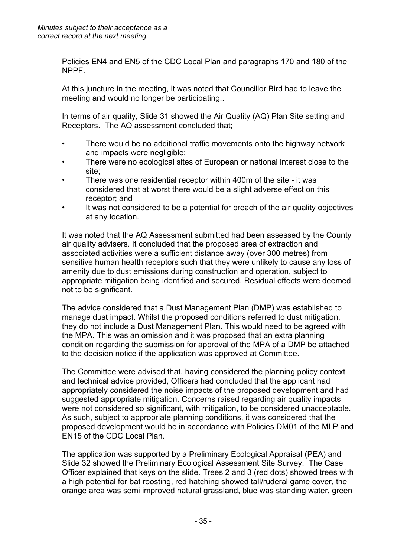Policies EN4 and EN5 of the CDC Local Plan and paragraphs 170 and 180 of the NPPF.

At this juncture in the meeting, it was noted that Councillor Bird had to leave the meeting and would no longer be participating..

In terms of air quality, Slide 31 showed the Air Quality (AQ) Plan Site setting and Receptors. The AQ assessment concluded that;

- There would be no additional traffic movements onto the highway network and impacts were negligible;
- There were no ecological sites of European or national interest close to the site;
- There was one residential receptor within 400m of the site it was considered that at worst there would be a slight adverse effect on this receptor; and
- It was not considered to be a potential for breach of the air quality objectives at any location.

It was noted that the AQ Assessment submitted had been assessed by the County air quality advisers. It concluded that the proposed area of extraction and associated activities were a sufficient distance away (over 300 metres) from sensitive human health receptors such that they were unlikely to cause any loss of amenity due to dust emissions during construction and operation, subject to appropriate mitigation being identified and secured. Residual effects were deemed not to be significant.

The advice considered that a Dust Management Plan (DMP) was established to manage dust impact. Whilst the proposed conditions referred to dust mitigation, they do not include a Dust Management Plan. This would need to be agreed with the MPA. This was an omission and it was proposed that an extra planning condition regarding the submission for approval of the MPA of a DMP be attached to the decision notice if the application was approved at Committee.

The Committee were advised that, having considered the planning policy context and technical advice provided, Officers had concluded that the applicant had appropriately considered the noise impacts of the proposed development and had suggested appropriate mitigation. Concerns raised regarding air quality impacts were not considered so significant, with mitigation, to be considered unacceptable. As such, subject to appropriate planning conditions, it was considered that the proposed development would be in accordance with Policies DM01 of the MLP and EN15 of the CDC Local Plan.

The application was supported by a Preliminary Ecological Appraisal (PEA) and Slide 32 showed the Preliminary Ecological Assessment Site Survey. The Case Officer explained that keys on the slide. Trees 2 and 3 (red dots) showed trees with a high potential for bat roosting, red hatching showed tall/ruderal game cover, the orange area was semi improved natural grassland, blue was standing water, green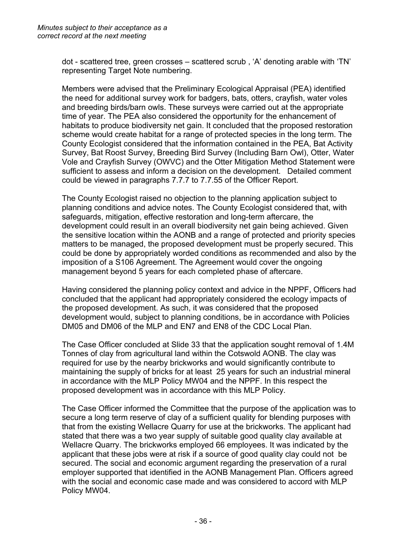dot - scattered tree, green crosses – scattered scrub , 'A' denoting arable with 'TN' representing Target Note numbering.

Members were advised that the Preliminary Ecological Appraisal (PEA) identified the need for additional survey work for badgers, bats, otters, crayfish, water voles and breeding birds/barn owls. These surveys were carried out at the appropriate time of year. The PEA also considered the opportunity for the enhancement of habitats to produce biodiversity net gain. It concluded that the proposed restoration scheme would create habitat for a range of protected species in the long term. The County Ecologist considered that the information contained in the PEA, Bat Activity Survey, Bat Roost Survey, Breeding Bird Survey (Including Barn Owl), Otter, Water Vole and Crayfish Survey (OWVC) and the Otter Mitigation Method Statement were sufficient to assess and inform a decision on the development. Detailed comment could be viewed in paragraphs 7.7.7 to 7.7.55 of the Officer Report.

The County Ecologist raised no objection to the planning application subject to planning conditions and advice notes. The County Ecologist considered that, with safeguards, mitigation, effective restoration and long-term aftercare, the development could result in an overall biodiversity net gain being achieved. Given the sensitive location within the AONB and a range of protected and priority species matters to be managed, the proposed development must be properly secured. This could be done by appropriately worded conditions as recommended and also by the imposition of a S106 Agreement. The Agreement would cover the ongoing management beyond 5 years for each completed phase of aftercare.

Having considered the planning policy context and advice in the NPPF, Officers had concluded that the applicant had appropriately considered the ecology impacts of the proposed development. As such, it was considered that the proposed development would, subject to planning conditions, be in accordance with Policies DM05 and DM06 of the MLP and EN7 and EN8 of the CDC Local Plan.

The Case Officer concluded at Slide 33 that the application sought removal of 1.4M Tonnes of clay from agricultural land within the Cotswold AONB. The clay was required for use by the nearby brickworks and would significantly contribute to maintaining the supply of bricks for at least 25 years for such an industrial mineral in accordance with the MLP Policy MW04 and the NPPF. In this respect the proposed development was in accordance with this MLP Policy.

The Case Officer informed the Committee that the purpose of the application was to secure a long term reserve of clay of a sufficient quality for blending purposes with that from the existing Wellacre Quarry for use at the brickworks. The applicant had stated that there was a two year supply of suitable good quality clay available at Wellacre Quarry. The brickworks employed 66 employees. It was indicated by the applicant that these jobs were at risk if a source of good quality clay could not be secured. The social and economic argument regarding the preservation of a rural employer supported that identified in the AONB Management Plan. Officers agreed with the social and economic case made and was considered to accord with MLP Policy MW04.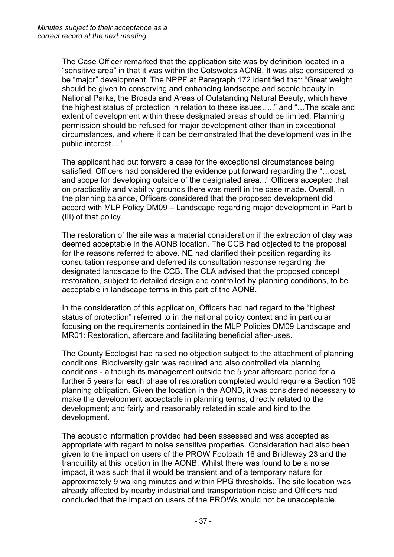The Case Officer remarked that the application site was by definition located in a "sensitive area" in that it was within the Cotswolds AONB. It was also considered to be "major" development. The NPPF at Paragraph 172 identified that: "Great weight should be given to conserving and enhancing landscape and scenic beauty in National Parks, the Broads and Areas of Outstanding Natural Beauty, which have the highest status of protection in relation to these issues….." and "…The scale and extent of development within these designated areas should be limited. Planning permission should be refused for major development other than in exceptional circumstances, and where it can be demonstrated that the development was in the public interest…."

The applicant had put forward a case for the exceptional circumstances being satisfied. Officers had considered the evidence put forward regarding the "…cost, and scope for developing outside of the designated area..." Officers accepted that on practicality and viability grounds there was merit in the case made. Overall, in the planning balance, Officers considered that the proposed development did accord with MLP Policy DM09 – Landscape regarding major development in Part b (III) of that policy.

The restoration of the site was a material consideration if the extraction of clay was deemed acceptable in the AONB location. The CCB had objected to the proposal for the reasons referred to above. NE had clarified their position regarding its consultation response and deferred its consultation response regarding the designated landscape to the CCB. The CLA advised that the proposed concept restoration, subject to detailed design and controlled by planning conditions, to be acceptable in landscape terms in this part of the AONB.

In the consideration of this application, Officers had had regard to the "highest status of protection" referred to in the national policy context and in particular focusing on the requirements contained in the MLP Policies DM09 Landscape and MR01: Restoration, aftercare and facilitating beneficial after-uses.

The County Ecologist had raised no objection subject to the attachment of planning conditions. Biodiversity gain was required and also controlled via planning conditions - although its management outside the 5 year aftercare period for a further 5 years for each phase of restoration completed would require a Section 106 planning obligation. Given the location in the AONB, it was considered necessary to make the development acceptable in planning terms, directly related to the development; and fairly and reasonably related in scale and kind to the development.

The acoustic information provided had been assessed and was accepted as appropriate with regard to noise sensitive properties. Consideration had also been given to the impact on users of the PROW Footpath 16 and Bridleway 23 and the tranquillity at this location in the AONB. Whilst there was found to be a noise impact, it was such that it would be transient and of a temporary nature for approximately 9 walking minutes and within PPG thresholds. The site location was already affected by nearby industrial and transportation noise and Officers had concluded that the impact on users of the PROWs would not be unacceptable.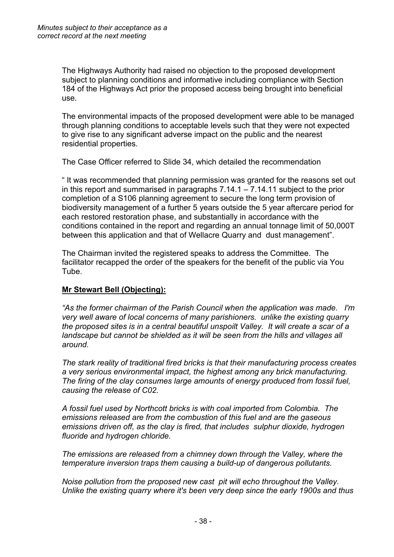The Highways Authority had raised no objection to the proposed development subject to planning conditions and informative including compliance with Section 184 of the Highways Act prior the proposed access being brought into beneficial use.

The environmental impacts of the proposed development were able to be managed through planning conditions to acceptable levels such that they were not expected to give rise to any significant adverse impact on the public and the nearest residential properties.

The Case Officer referred to Slide 34, which detailed the recommendation

" It was recommended that planning permission was granted for the reasons set out in this report and summarised in paragraphs 7.14.1 – 7.14.11 subject to the prior completion of a S106 planning agreement to secure the long term provision of biodiversity management of a further 5 years outside the 5 year aftercare period for each restored restoration phase, and substantially in accordance with the conditions contained in the report and regarding an annual tonnage limit of 50,000T between this application and that of Wellacre Quarry and dust management".

The Chairman invited the registered speaks to address the Committee. The facilitator recapped the order of the speakers for the benefit of the public via You Tube.

# **Mr Stewart Bell (Objecting):**

*"As the former chairman of the Parish Council when the application was made. I'm very well aware of local concerns of many parishioners. unlike the existing quarry the proposed sites is in a central beautiful unspoilt Valley. It will create a scar of a landscape but cannot be shielded as it will be seen from the hills and villages all around.* 

*The stark reality of traditional fired bricks is that their manufacturing process creates a very serious environmental impact, the highest among any brick manufacturing. The firing of the clay consumes large amounts of energy produced from fossil fuel, causing the release of C02.* 

*A fossil fuel used by Northcott bricks is with coal imported from Colombia. The emissions released are from the combustion of this fuel and are the gaseous emissions driven off, as the clay is fired, that includes sulphur dioxide, hydrogen fluoride and hydrogen chloride.* 

*The emissions are released from a chimney down through the Valley, where the temperature inversion traps them causing a build-up of dangerous pollutants.* 

*Noise pollution from the proposed new cast pit will echo throughout the Valley. Unlike the existing quarry where it's been very deep since the early 1900s and thus*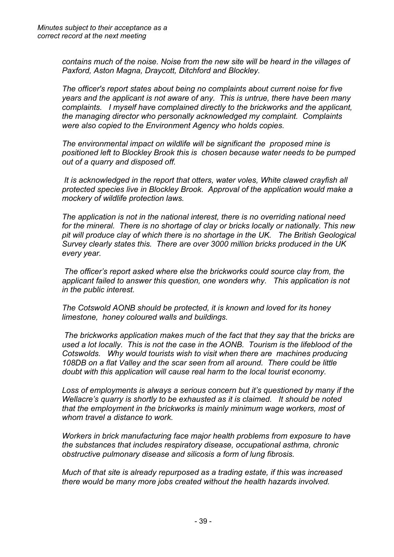*contains much of the noise. Noise from the new site will be heard in the villages of Paxford, Aston Magna, Draycott, Ditchford and Blockley.*

*The officer's report states about being no complaints about current noise for five years and the applicant is not aware of any. This is untrue, there have been many complaints. I myself have complained directly to the brickworks and the applicant, the managing director who personally acknowledged my complaint. Complaints were also copied to the Environment Agency who holds copies.* 

*The environmental impact on wildlife will be significant the proposed mine is positioned left to Blockley Brook this is chosen because water needs to be pumped out of a quarry and disposed off.* 

*It is acknowledged in the report that otters, water voles, White clawed crayfish all protected species live in Blockley Brook. Approval of the application would make a mockery of wildlife protection laws.* 

*The application is not in the national interest, there is no overriding national need for the mineral. There is no shortage of clay or bricks locally or nationally. This new pit will produce clay of which there is no shortage in the UK. The British Geological Survey clearly states this. There are over 3000 million bricks produced in the UK every year.* 

*The officer's report asked where else the brickworks could source clay from, the applicant failed to answer this question, one wonders why. This application is not in the public interest.* 

*The Cotswold AONB should be protected, it is known and loved for its honey limestone, honey coloured walls and buildings.* 

*The brickworks application makes much of the fact that they say that the bricks are used a lot locally. This is not the case in the AONB. Tourism is the lifeblood of the Cotswolds. Why would tourists wish to visit when there are machines producing 108DB on a flat Valley and the scar seen from all around. There could be little doubt with this application will cause real harm to the local tourist economy.*

*Loss of employments is always a serious concern but it's questioned by many if the Wellacre's quarry is shortly to be exhausted as it is claimed. It should be noted that the employment in the brickworks is mainly minimum wage workers, most of whom travel a distance to work.* 

*Workers in brick manufacturing face major health problems from exposure to have the substances that includes respiratory disease, occupational asthma, chronic obstructive pulmonary disease and silicosis a form of lung fibrosis.* 

*Much of that site is already repurposed as a trading estate, if this was increased there would be many more jobs created without the health hazards involved.*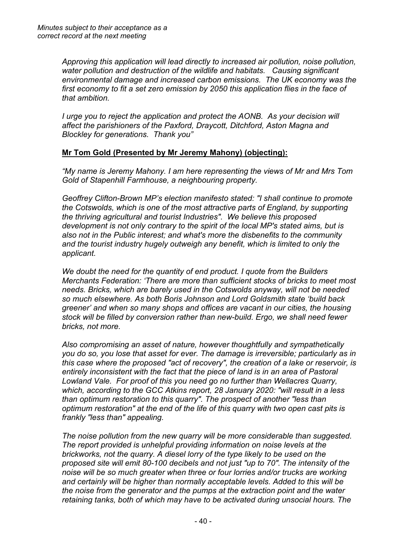*Approving this application will lead directly to increased air pollution, noise pollution, water pollution and destruction of the wildlife and habitats. Causing significant environmental damage and increased carbon emissions. The UK economy was the first economy to fit a set zero emission by 2050 this application flies in the face of that ambition.* 

*I urge you to reject the application and protect the AONB. As your decision will affect the parishioners of the Paxford, Draycott, Ditchford, Aston Magna and Blockley for generations. Thank you"*

# **Mr Tom Gold (Presented by Mr Jeremy Mahony) (objecting):**

*"My name is Jeremy Mahony. I am here representing the views of Mr and Mrs Tom Gold of Stapenhill Farmhouse, a neighbouring property.*

*Geoffrey Clifton-Brown MP's election manifesto stated: "I shall continue to promote the Cotswolds, which is one of the most attractive parts of England, by supporting the thriving agricultural and tourist Industries". We believe this proposed development is not only contrary to the spirit of the local MP's stated aims, but is also not in the Public interest; and what's more the disbenefits to the community and the tourist industry hugely outweigh any benefit, which is limited to only the applicant.*

*We doubt the need for the quantity of end product. I quote from the Builders Merchants Federation: 'There are more than sufficient stocks of bricks to meet most needs. Bricks, which are barely used in the Cotswolds anyway, will not be needed so much elsewhere. As both Boris Johnson and Lord Goldsmith state 'build back greener' and when so many shops and offices are vacant in our cities, the housing stock will be filled by conversion rather than new-build. Ergo, we shall need fewer bricks, not more.*

*Also compromising an asset of nature, however thoughtfully and sympathetically you do so, you lose that asset for ever. The damage is irreversible; particularly as in this case where the proposed "act of recovery", the creation of a lake or reservoir, is entirely inconsistent with the fact that the piece of land is in an area of Pastoral Lowland Vale. For proof of this you need go no further than Wellacres Quarry, which, according to the GCC Atkins report, 28 January 2020: "will result in a less than optimum restoration to this quarry". The prospect of another "less than optimum restoration" at the end of the life of this quarry with two open cast pits is frankly "less than" appealing.*

*The noise pollution from the new quarry will be more considerable than suggested. The report provided is unhelpful providing information on noise levels at the brickworks, not the quarry. A diesel lorry of the type likely to be used on the proposed site will emit 80-100 decibels and not just "up to 70". The intensity of the noise will be so much greater when three or four lorries and/or trucks are working and certainly will be higher than normally acceptable levels. Added to this will be the noise from the generator and the pumps at the extraction point and the water retaining tanks, both of which may have to be activated during unsocial hours. The*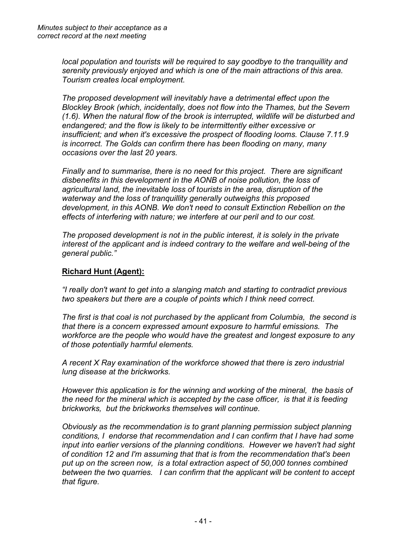*local population and tourists will be required to say goodbye to the tranquillity and serenity previously enjoyed and which is one of the main attractions of this area. Tourism creates local employment.*

*The proposed development will inevitably have a detrimental effect upon the Blockley Brook (which, incidentally, does not flow into the Thames, but the Severn (1.6). When the natural flow of the brook is interrupted, wildlife will be disturbed and endangered; and the flow is likely to be intermittently either excessive or insufficient; and when it's excessive the prospect of flooding looms. Clause 7.11.9 is incorrect. The Golds can confirm there has been flooding on many, many occasions over the last 20 years.*

*Finally and to summarise, there is no need for this project. There are significant disbenefits in this development in the AONB of noise pollution, the loss of agricultural land, the inevitable loss of tourists in the area, disruption of the waterway and the loss of tranquillity generally outweighs this proposed development, in this AONB. We don't need to consult Extinction Rebellion on the effects of interfering with nature; we interfere at our peril and to our cost.*

*The proposed development is not in the public interest, it is solely in the private interest of the applicant and is indeed contrary to the welfare and well-being of the general public."* 

#### **Richard Hunt (Agent):**

*"I really don't want to get into a slanging match and starting to contradict previous two speakers but there are a couple of points which I think need correct.* 

*The first is that coal is not purchased by the applicant from Columbia, the second is that there is a concern expressed amount exposure to harmful emissions. The workforce are the people who would have the greatest and longest exposure to any of those potentially harmful elements.* 

*A recent X Ray examination of the workforce showed that there is zero industrial lung disease at the brickworks.* 

*However this application is for the winning and working of the mineral, the basis of the need for the mineral which is accepted by the case officer, is that it is feeding brickworks, but the brickworks themselves will continue.*

*Obviously as the recommendation is to grant planning permission subject planning conditions, I endorse that recommendation and I can confirm that I have had some input into earlier versions of the planning conditions. However we haven't had sight of condition 12 and I'm assuming that that is from the recommendation that's been put up on the screen now, is a total extraction aspect of 50,000 tonnes combined between the two quarries. I can confirm that the applicant will be content to accept that figure.*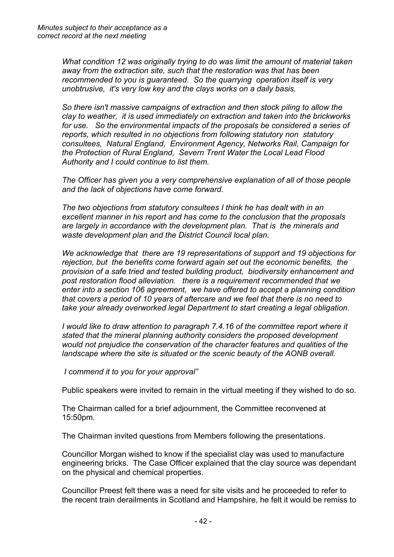*What condition 12 was originally trying to do was limit the amount of material taken away from the extraction site, such that the restoration was that has been recommended to you is guaranteed. So the quarrying operation itself is very unobtrusive, it's very low key and the clays works on a daily basis.* 

*So there isn't massive campaigns of extraction and then stock piling to allow the clay to weather, it is used immediately on extraction and taken into the brickworks for use. So the environmental impacts of the proposals be considered a series of reports, which resulted in no objections from following statutory non statutory consultees, Natural England, Environment Agency, Networks Rail, Campaign for the Protection of Rural England, Severn Trent Water the Local Lead Flood Authority and I could continue to list them.*

*The Officer has given you a very comprehensive explanation of all of those people and the lack of objections have come forward.* 

*The two objections from statutory consultees I think he has dealt with in an excellent manner in his report and has come to the conclusion that the proposals are largely in accordance with the development plan. That is the minerals and waste development plan and the District Council local plan.* 

*We acknowledge that there are 19 representations of support and 19 objections for rejection, but the benefits come forward again set out the economic benefits, the provision of a safe tried and tested building product, biodiversity enhancement and post restoration flood alleviation. there is a requirement recommended that we enter into a section 106 agreement, we have offered to accept a planning condition that covers a period of 10 years of aftercare and we feel that there is no need to take your already overworked legal Department to start creating a legal obligation.* 

*I would like to draw attention to paragraph 7.4.16 of the committee report where it stated that the mineral planning authority considers the proposed development would not prejudice the conservation of the character features and qualities of the landscape where the site is situated or the scenic beauty of the AONB overall.*

*I commend it to you for your approval"*

Public speakers were invited to remain in the virtual meeting if they wished to do so.

The Chairman called for a brief adjournment, the Committee reconvened at 15:50pm.

The Chairman invited questions from Members following the presentations.

Councillor Morgan wished to know if the specialist clay was used to manufacture engineering bricks. The Case Officer explained that the clay source was dependant on the physical and chemical properties.

Councillor Preest felt there was a need for site visits and he proceeded to refer to the recent train derailments in Scotland and Hampshire, he felt it would be remiss to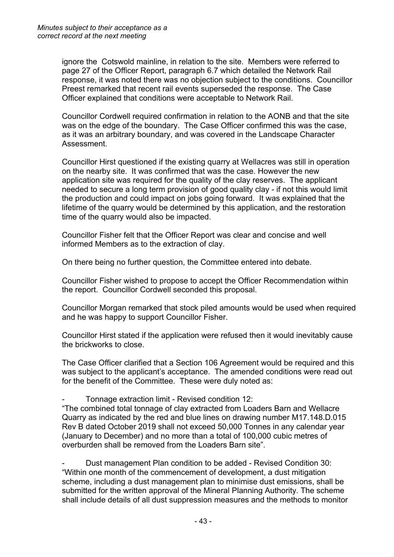ignore the Cotswold mainline, in relation to the site. Members were referred to page 27 of the Officer Report, paragraph 6.7 which detailed the Network Rail response, it was noted there was no objection subject to the conditions. Councillor Preest remarked that recent rail events superseded the response. The Case Officer explained that conditions were acceptable to Network Rail.

Councillor Cordwell required confirmation in relation to the AONB and that the site was on the edge of the boundary. The Case Officer confirmed this was the case, as it was an arbitrary boundary, and was covered in the Landscape Character Assessment.

Councillor Hirst questioned if the existing quarry at Wellacres was still in operation on the nearby site. It was confirmed that was the case. However the new application site was required for the quality of the clay reserves. The applicant needed to secure a long term provision of good quality clay - if not this would limit the production and could impact on jobs going forward. It was explained that the lifetime of the quarry would be determined by this application, and the restoration time of the quarry would also be impacted.

Councillor Fisher felt that the Officer Report was clear and concise and well informed Members as to the extraction of clay.

On there being no further question, the Committee entered into debate.

Councillor Fisher wished to propose to accept the Officer Recommendation within the report. Councillor Cordwell seconded this proposal.

Councillor Morgan remarked that stock piled amounts would be used when required and he was happy to support Councillor Fisher.

Councillor Hirst stated if the application were refused then it would inevitably cause the brickworks to close.

The Case Officer clarified that a Section 106 Agreement would be required and this was subject to the applicant's acceptance. The amended conditions were read out for the benefit of the Committee. These were duly noted as:

- Tonnage extraction limit - Revised condition 12:

"The combined total tonnage of clay extracted from Loaders Barn and Wellacre Quarry as indicated by the red and blue lines on drawing number M17.148.D.015 Rev B dated October 2019 shall not exceed 50,000 Tonnes in any calendar year (January to December) and no more than a total of 100,000 cubic metres of overburden shall be removed from the Loaders Barn site".

- Dust management Plan condition to be added - Revised Condition 30: "Within one month of the commencement of development, a dust mitigation scheme, including a dust management plan to minimise dust emissions, shall be submitted for the written approval of the Mineral Planning Authority. The scheme shall include details of all dust suppression measures and the methods to monitor